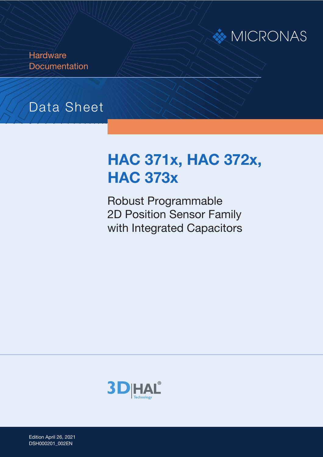

**Hardware Documentation** 

## Data Sheet

# **HAC 371x, HAC 372x, HAC 373x**

Robust Programmable 2D Position Sensor Family with Integrated Capacitors



Edition April 26, 2021 Edition April 26, 2021<br>DSH000201\_002EN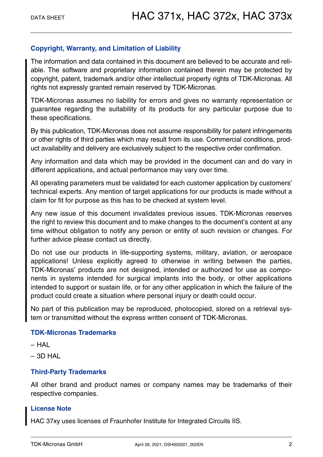#### **Copyright, Warranty, and Limitation of Liability**

The information and data contained in this document are believed to be accurate and reliable. The software and proprietary information contained therein may be protected by copyright, patent, trademark and/or other intellectual property rights of TDK-Micronas. All rights not expressly granted remain reserved by TDK-Micronas.

TDK-Micronas assumes no liability for errors and gives no warranty representation or guarantee regarding the suitability of its products for any particular purpose due to these specifications.

By this publication, TDK-Micronas does not assume responsibility for patent infringements or other rights of third parties which may result from its use. Commercial conditions, product availability and delivery are exclusively subject to the respective order confirmation.

Any information and data which may be provided in the document can and do vary in different applications, and actual performance may vary over time.

All operating parameters must be validated for each customer application by customers' technical experts. Any mention of target applications for our products is made without a claim for fit for purpose as this has to be checked at system level.

Any new issue of this document invalidates previous issues. TDK-Micronas reserves the right to review this document and to make changes to the document's content at any time without obligation to notify any person or entity of such revision or changes. For further advice please contact us directly.

Do not use our products in life-supporting systems, military, aviation, or aerospace applications! Unless explicitly agreed to otherwise in writing between the parties, TDK-Micronas' products are not designed, intended or authorized for use as components in systems intended for surgical implants into the body, or other applications intended to support or sustain life, or for any other application in which the failure of the product could create a situation where personal injury or death could occur.

No part of this publication may be reproduced, photocopied, stored on a retrieval system or transmitted without the express written consent of TDK-Micronas.

#### **TDK-Micronas Trademarks**

- $HAI$
- $-$  3D HAL

#### **Third-Party Trademarks**

All other brand and product names or company names may be trademarks of their respective companies.

#### **License Note**

HAC 37xy uses licenses of Fraunhofer Institute for Integrated Circuits IIS.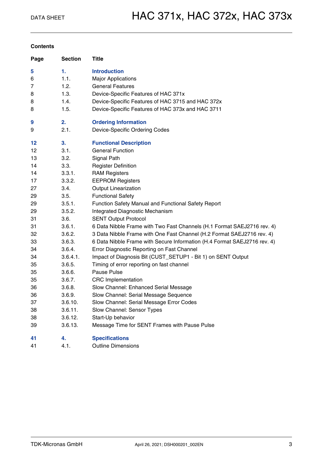#### **Contents**

| Page | <b>Section</b> | Title                                                                    |
|------|----------------|--------------------------------------------------------------------------|
| 5    | 1.             | <b>Introduction</b>                                                      |
| 6    | 1.1.           | <b>Major Applications</b>                                                |
| 7    | 1.2.           | <b>General Features</b>                                                  |
| 8    | 1.3.           | Device-Specific Features of HAC 371x                                     |
| 8    | 1.4.           | Device-Specific Features of HAC 3715 and HAC 372x                        |
| 8    | 1.5.           | Device-Specific Features of HAC 373x and HAC 3711                        |
| 9    | 2.             | <b>Ordering Information</b>                                              |
| 9    | 2.1.           | Device-Specific Ordering Codes                                           |
| 12   | 3.             | <b>Functional Description</b>                                            |
| 12   | 3.1.           | <b>General Function</b>                                                  |
| 13   | 3.2.           | Signal Path                                                              |
| 14   | 3.3.           | <b>Register Definition</b>                                               |
| 14   | 3.3.1.         | <b>RAM Registers</b>                                                     |
| 17   | 3.3.2.         | <b>EEPROM Registers</b>                                                  |
| 27   | 3.4.           | <b>Output Linearization</b>                                              |
| 29   | 3.5.           | <b>Functional Safety</b>                                                 |
| 29   | 3.5.1.         | Function Safety Manual and Functional Safety Report                      |
| 29   | 3.5.2.         | Integrated Diagnostic Mechanism                                          |
| 31   | 3.6.           | <b>SENT Output Protocol</b>                                              |
| 31   | 3.6.1.         | 6 Data Nibble Frame with Two Fast Channels (H.1 Format SAEJ2716 rev. 4)  |
| 32   | 3.6.2.         | 3 Data Nibble Frame with One Fast Channel (H.2 Format SAEJ2716 rev. 4)   |
| 33   | 3.6.3.         | 6 Data Nibble Frame with Secure Information (H.4 Format SAEJ2716 rev. 4) |
| 34   | 3.6.4.         | Error Diagnostic Reporting on Fast Channel                               |
| 34   | 3.6.4.1.       | Impact of Diagnosis Bit (CUST_SETUP1 - Bit 1) on SENT Output             |
| 35   | 3.6.5.         | Timing of error reporting on fast channel                                |
| 35   | 3.6.6.         | Pause Pulse                                                              |
| 35   | 3.6.7.         | <b>CRC</b> Implementation                                                |
| 36   | 3.6.8.         | Slow Channel: Enhanced Serial Message                                    |
| 36   | 3.6.9.         | Slow Channel: Serial Message Sequence                                    |
| 37   | 3.6.10.        | Slow Channel: Serial Message Error Codes                                 |
| 38   | 3.6.11.        | Slow Channel: Sensor Types                                               |
| 38   | 3.6.12.        | Start-Up behavior                                                        |
| 39   | 3.6.13.        | Message Time for SENT Frames with Pause Pulse                            |
| 41   | 4.             | <b>Specifications</b>                                                    |

[41 4.1. Outline Dimensions](#page-40-1)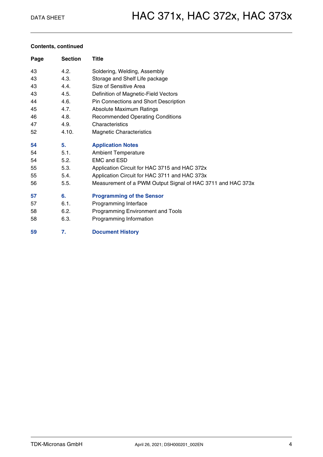#### **Contents, continued**

| Page | <b>Section</b> | Title                                                       |
|------|----------------|-------------------------------------------------------------|
| 43   | 4.2.           | Soldering, Welding, Assembly                                |
| 43   | 4.3.           | Storage and Shelf Life package                              |
| 43   | 4.4.           | Size of Sensitive Area                                      |
| 43   | 4.5.           | Definition of Magnetic-Field Vectors                        |
| 44   | 4.6.           | Pin Connections and Short Description                       |
| 45   | 4.7.           | <b>Absolute Maximum Ratings</b>                             |
| 46   | 4.8.           | <b>Recommended Operating Conditions</b>                     |
| 47   | 4.9.           | Characteristics                                             |
| 52   | 4.10.          | <b>Magnetic Characteristics</b>                             |
| 54   | 5.             | <b>Application Notes</b>                                    |
| 54   | 5.1.           | <b>Ambient Temperature</b>                                  |
| 54   | 5.2.           | <b>EMC and ESD</b>                                          |
| 55   | 5.3.           | Application Circuit for HAC 3715 and HAC 372x               |
| 55   | 5.4.           | Application Circuit for HAC 3711 and HAC 373x               |
| 56   | 5.5.           | Measurement of a PWM Output Signal of HAC 3711 and HAC 373x |
| 57   | 6.             | <b>Programming of the Sensor</b>                            |
| 57   | 6.1.           | Programming Interface                                       |
| 58   | 6.2.           | Programming Environment and Tools                           |
| 58   | 6.3.           | Programming Information                                     |
| 59   | 7.             | <b>Document History</b>                                     |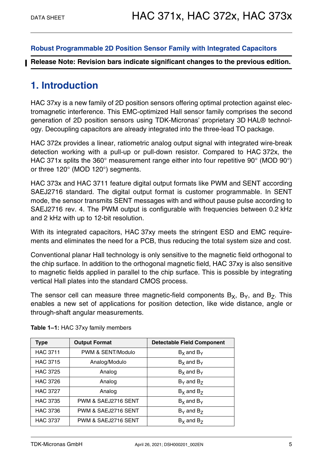### **[Robust Programmable 2D Position Sensor Family with Integrated Capacitors](#page--1-1)**

**Release Note: Revision bars indicate significant changes to the previous edition.**

### <span id="page-4-0"></span>**1. Introduction**

HAC 37xy is a new family of 2D position sensors offering optimal protection against electromagnetic interference. This EMC-optimized Hall sensor family comprises the second generation of 2D position sensors using TDK-Micronas' proprietary 3D HAL® technology. Decoupling capacitors are already integrated into the three-lead TO package.

HAC 372x provides a linear, ratiometric analog output signal with integrated wire-break detection working with a pull-up or pull-down resistor. Compared to HAC 372x, the HAC 371x splits the 360° measurement range either into four repetitive 90° (MOD 90°) or three 120° (MOD 120°) segments.

HAC 373x and HAC 3711 feature digital output formats like PWM and SENT according SAEJ2716 standard. The digital output format is customer programmable. In SENT mode, the sensor transmits SENT messages with and without pause pulse according to SAEJ2716 rev. 4. The PWM output is configurable with frequencies between 0.2 kHz and 2 kHz with up to 12-bit resolution.

With its integrated capacitors, HAC 37xy meets the stringent ESD and EMC requirements and eliminates the need for a PCB, thus reducing the total system size and cost.

Conventional planar Hall technology is only sensitive to the magnetic field orthogonal to the chip surface. In addition to the orthogonal magnetic field, HAC 37xy is also sensitive to magnetic fields applied in parallel to the chip surface. This is possible by integrating vertical Hall plates into the standard CMOS process.

The sensor cell can measure three magnetic-field components  $B_X$ ,  $B_Y$ , and  $B_Z$ . This enables a new set of applications for position detection, like wide distance, angle or through-shaft angular measurements.

| <b>Type</b>     | <b>Output Format</b> | <b>Detectable Field Component</b> |
|-----------------|----------------------|-----------------------------------|
| <b>HAC 3711</b> | PWM & SENT/Modulo    | $Bx$ and $By$                     |
| <b>HAC 3715</b> | Analog/Modulo        | $Bx$ and $By$                     |
| <b>HAC 3725</b> | Analog               | $Bx$ and $By$                     |
| <b>HAC 3726</b> | Analog               | $B_{\rm Y}$ and $B_{\rm Z}$       |
| <b>HAC 3727</b> | Analog               | $B_x$ and $B_z$                   |
| <b>HAC 3735</b> | PWM & SAEJ2716 SENT  | $Bx$ and $By$                     |
| <b>HAC 3736</b> | PWM & SAEJ2716 SENT  | $B_{\rm Y}$ and $B_{\rm Z}$       |
| <b>HAC 3737</b> | PWM & SAEJ2716 SENT  | $B_x$ and $B_z$                   |

| Table 1-1: HAC 37xy family members |  |  |  |
|------------------------------------|--|--|--|
|------------------------------------|--|--|--|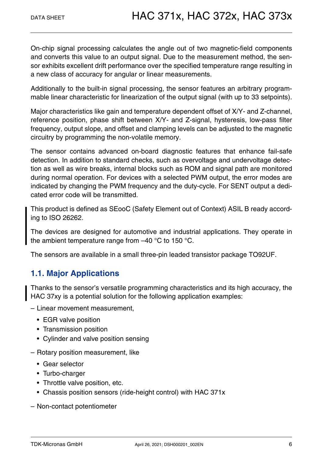On-chip signal processing calculates the angle out of two magnetic-field components and converts this value to an output signal. Due to the measurement method, the sensor exhibits excellent drift performance over the specified temperature range resulting in a new class of accuracy for angular or linear measurements.

Additionally to the built-in signal processing, the sensor features an arbitrary programmable linear characteristic for linearization of the output signal (with up to 33 setpoints).

Major characteristics like gain and temperature dependent offset of X/Y- and Z-channel, reference position, phase shift between X/Y- and Z-signal, hysteresis, low-pass filter frequency, output slope, and offset and clamping levels can be adjusted to the magnetic circuitry by programming the non-volatile memory.

The sensor contains advanced on-board diagnostic features that enhance fail-safe detection. In addition to standard checks, such as overvoltage and undervoltage detection as well as wire breaks, internal blocks such as ROM and signal path are monitored during normal operation. For devices with a selected PWM output, the error modes are indicated by changing the PWM frequency and the duty-cycle. For SENT output a dedicated error code will be transmitted.

This product is defined as SEooC (Safety Element out of Context) ASIL B ready according to ISO 26262.

The devices are designed for automotive and industrial applications. They operate in the ambient temperature range from –40 °C to 150 °C.

The sensors are available in a small three-pin leaded transistor package TO92UF.

### <span id="page-5-0"></span>**1.1. Major Applications**

Thanks to the sensor's versatile programming characteristics and its high accuracy, the HAC 37xy is a potential solution for the following application examples:

- Linear movement measurement,
	- EGR valve position
	- Transmission position
	- Cylinder and valve position sensing
- Rotary position measurement, like
	- Gear selector
	- Turbo-charger
	- Throttle valve position, etc.
	- Chassis position sensors (ride-height control) with HAC 371x
- Non-contact potentiometer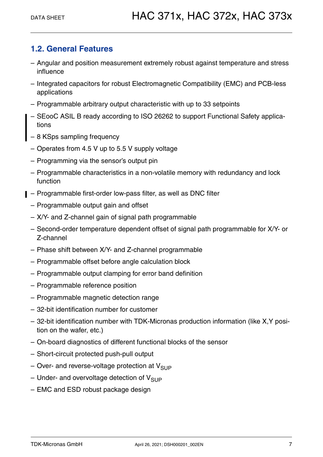### <span id="page-6-0"></span>**1.2. General Features**

- Angular and position measurement extremely robust against temperature and stress influence
- Integrated capacitors for robust Electromagnetic Compatibility (EMC) and PCB-less applications
- Programmable arbitrary output characteristic with up to 33 setpoints
- SEooC ASIL B ready according to ISO 26262 to support Functional Safety applications
- 8 KSps sampling frequency
- Operates from 4.5 V up to 5.5 V supply voltage
- Programming via the sensor's output pin
- Programmable characteristics in a non-volatile memory with redundancy and lock function
- Programmable first-order low-pass filter, as well as DNC filter
	- Programmable output gain and offset
	- X/Y- and Z-channel gain of signal path programmable
	- Second-order temperature dependent offset of signal path programmable for X/Y- or Z-channel
	- Phase shift between X/Y- and Z-channel programmable
	- Programmable offset before angle calculation block
	- Programmable output clamping for error band definition
	- Programmable reference position
	- Programmable magnetic detection range
	- 32-bit identification number for customer
	- 32-bit identification number with TDK-Micronas production information (like X,Y position on the wafer, etc.)
	- On-board diagnostics of different functional blocks of the sensor
	- Short-circuit protected push-pull output
	- Over- and reverse-voltage protection at  $V_{\text{SUP}}$
	- Under- and overvoltage detection of  $V_{SUP}$
	- EMC and ESD robust package design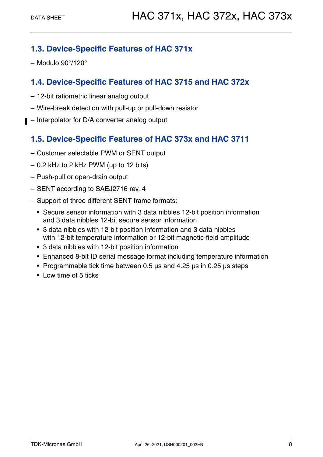### <span id="page-7-0"></span>**1.3. Device-Specific Features of HAC 371x**

– Modulo 90°/120°

### <span id="page-7-1"></span>**1.4. Device-Specific Features of HAC 3715 and HAC 372x**

- 12-bit ratiometric linear analog output
- Wire-break detection with pull-up or pull-down resistor
- Interpolator for D/A converter analog output

### <span id="page-7-2"></span>**1.5. Device-Specific Features of HAC 373x and HAC 3711**

- Customer selectable PWM or SENT output
- 0.2 kHz to 2 kHz PWM (up to 12 bits)
- Push-pull or open-drain output
- SENT according to SAEJ2716 rev. 4
- Support of three different SENT frame formats:
	- Secure sensor information with 3 data nibbles 12-bit position information and 3 data nibbles 12-bit secure sensor information
	- 3 data nibbles with 12-bit position information and 3 data nibbles with 12-bit temperature information or 12-bit magnetic-field amplitude
	- 3 data nibbles with 12-bit position information
	- Enhanced 8-bit ID serial message format including temperature information
	- Programmable tick time between 0.5 µs and 4.25 µs in 0.25 µs steps
	- Low time of 5 ticks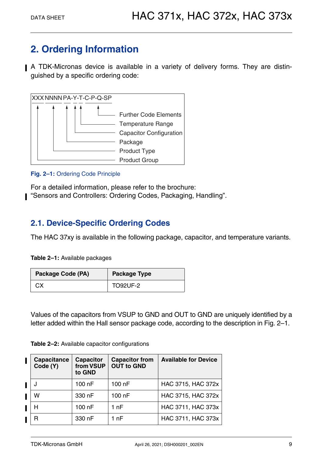### <span id="page-8-0"></span>**2. Ordering Information**

A TDK-Micronas device is available in a variety of delivery forms. They are distinguished by a specific ordering code:



#### <span id="page-8-2"></span>**Fig. 2–1:** Ordering Code Principle

For a detailed information, please refer to the brochure: "Sensors and Controllers: Ordering Codes, Packaging, Handling".

### <span id="page-8-1"></span>**2.1. Device-Specific Ordering Codes**

The HAC 37xy is available in the following package, capacitor, and temperature variants.

**Table 2–1:** Available packages

| Package Code (PA) | <b>Package Type</b> |  |
|-------------------|---------------------|--|
| CХ                | <b>TO92UF-2</b>     |  |

Values of the capacitors from VSUP to GND and OUT to GND are uniquely identified by a letter added within the Hall sensor package code, according to the description in [Fig. 2–1.](#page-8-2)

| <b>Table 2-2:</b> Available capacitor configurations |  |  |
|------------------------------------------------------|--|--|
|------------------------------------------------------|--|--|

| Capacitance<br>Code (Y) | <b>Capacitor</b><br>from VSUP<br>to GND | <b>Capacitor from</b><br><b>OUT to GND</b> | <b>Available for Device</b> |
|-------------------------|-----------------------------------------|--------------------------------------------|-----------------------------|
|                         | 100 nF                                  | 100 nF                                     | HAC 3715, HAC 372x          |
| W                       | 330 nF                                  | 100 nF                                     | HAC 3715, HAC 372x          |
| н                       | 100 nF                                  | 1 nF                                       | HAC 3711, HAC 373x          |
| R                       | 330 nF                                  | 1 nF                                       | HAC 3711, HAC 373x          |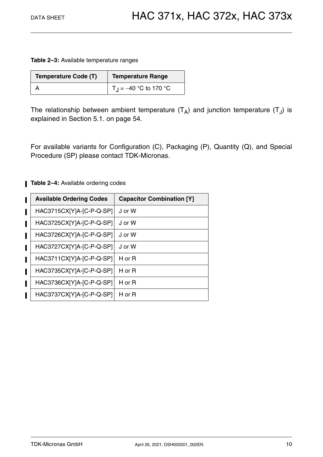**Table 2–3:** Available temperature ranges

| <b>Temperature Code (T)</b> | Temperature Range                  |
|-----------------------------|------------------------------------|
|                             | T <sub>.I</sub> = -40 °C to 170 °C |

The relationship between ambient temperature  $(T_A)$  and junction temperature  $(T_A)$  is explained in [Section 5.1. on page 54.](#page-53-3)

For available variants for Configuration (C), Packaging (P), Quantity (Q), and Special Procedure (SP) please contact TDK-Micronas.

**Table 2-4:** Available ordering codes

| <b>Available Ordering Codes</b> | <b>Capacitor Combination [Y]</b> |
|---------------------------------|----------------------------------|
| HAC3715CX[Y]A-[C-P-Q-SP]        | J or W                           |
| HAC3725CX[Y]A-[C-P-Q-SP]        | J or W                           |
| HAC3726CX[Y]A-[C-P-Q-SP]        | J or W                           |
| HAC3727CX[Y]A-[C-P-Q-SP]        | J or W                           |
| HAC3711CX[Y]A-[C-P-Q-SP]        | H or $R$                         |
| HAC3735CX[Y]A-[C-P-Q-SP]        | H or $R$                         |
| HAC3736CX[Y]A-[C-P-Q-SP]        | H or R                           |
| HAC3737CX[Y]A-[C-P-Q-SP]        | H or $R$                         |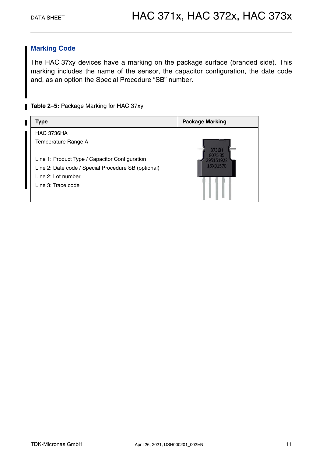### **Marking Code**

The HAC 37xy devices have a marking on the package surface (branded side). This marking includes the name of the sensor, the capacitor configuration, the date code and, as an option the Special Procedure "SB" number.

**Table 2-5: Package Marking for HAC 37xy** 

| Type                                                                                                                                              | <b>Package Marking</b>       |
|---------------------------------------------------------------------------------------------------------------------------------------------------|------------------------------|
| <b>HAC 3736HA</b>                                                                                                                                 |                              |
| Temperature Range A                                                                                                                               |                              |
| Line 1: Product Type / Capacitor Configuration<br>Line 2: Date code / Special Procedure SB (optional)<br>Line 2: Lot number<br>Line 3: Trace code | 3736H<br>8075 35<br>16X01570 |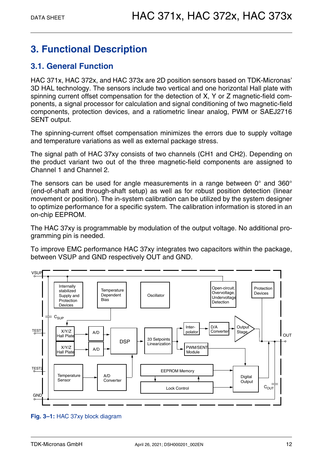### <span id="page-11-0"></span>**3. Functional Description**

### <span id="page-11-1"></span>**3.1. General Function**

HAC 371x, HAC 372x, and HAC 373x are 2D position sensors based on TDK-Micronas' 3D HAL technology. The sensors include two vertical and one horizontal Hall plate with spinning current offset compensation for the detection of X, Y or Z magnetic-field components, a signal processor for calculation and signal conditioning of two magnetic-field components, protection devices, and a ratiometric linear analog, PWM or SAEJ2716 SENT output.

The spinning-current offset compensation minimizes the errors due to supply voltage and temperature variations as well as external package stress.

The signal path of HAC 37xy consists of two channels (CH1 and CH2). Depending on the product variant two out of the three magnetic-field components are assigned to Channel 1 and Channel 2.

The sensors can be used for angle measurements in a range between 0° and 360° (end-of-shaft and through-shaft setup) as well as for robust position detection (linear movement or position). The in-system calibration can be utilized by the system designer to optimize performance for a specific system. The calibration information is stored in an on-chip EEPROM.

The HAC 37xy is programmable by modulation of the output voltage. No additional programming pin is needed.

To improve EMC performance HAC 37xy integrates two capacitors within the package, between VSUP and GND respectively OUT and GND.



#### **Fig. 3–1:** HAC 37xy block diagram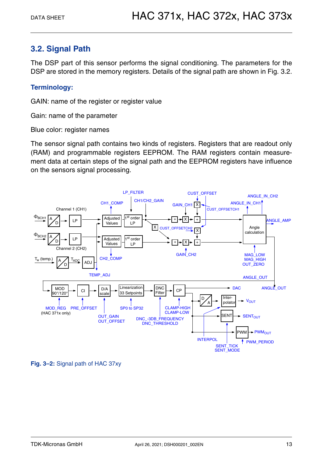### <span id="page-12-0"></span>**3.2. Signal Path**

The DSP part of this sensor performs the signal conditioning. The parameters for the DSP are stored in the memory registers. Details of the signal path are shown in [Fig. 3.2.](#page-12-0)

#### **Terminology:**

GAIN: name of the register or register value

Gain: name of the parameter

Blue color: register names

The sensor signal path contains two kinds of registers. Registers that are readout only (RAM) and programmable registers EEPROM. The RAM registers contain measurement data at certain steps of the signal path and the EEPROM registers have influence on the sensors signal processing.



**Fig. 3–2:** Signal path of HAC 37xy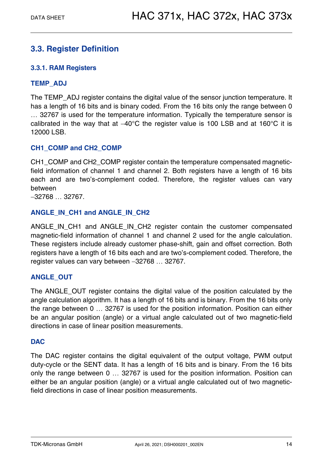### <span id="page-13-0"></span>**3.3. Register Definition**

### <span id="page-13-1"></span>**3.3.1. RAM Registers**

### **TEMP\_ADJ**

The TEMP\_ADJ register contains the digital value of the sensor junction temperature. It has a length of 16 bits and is binary coded. From the 16 bits only the range between 0 32767 is used for the temperature information. Typically the temperature sensor is calibrated in the way that at  $-40^{\circ}$ C the register value is 100 LSB and at 160 $^{\circ}$ C it is 12000 LSB.

#### **CH1\_COMP and CH2\_COMP**

CH1\_COMP and CH2\_COMP register contain the temperature compensated magneticfield information of channel 1 and channel 2. Both registers have a length of 16 bits each and are two's-complement coded. Therefore, the register values can vary between

32768 32767.

### **ANGLE\_IN\_CH1 and ANGLE\_IN\_CH2**

ANGLE\_IN\_CH1 and ANGLE\_IN\_CH2 register contain the customer compensated magnetic-field information of channel 1 and channel 2 used for the angle calculation. These registers include already customer phase-shift, gain and offset correction. Both registers have a length of 16 bits each and are two's-complement coded. Therefore, the register values can vary between -32768 ... 32767.

### **ANGLE\_OUT**

The ANGLE OUT register contains the digital value of the position calculated by the angle calculation algorithm. It has a length of 16 bits and is binary. From the 16 bits only the range between  $0 \ldots 32767$  is used for the position information. Position can either be an angular position (angle) or a virtual angle calculated out of two magnetic-field directions in case of linear position measurements.

#### **DAC**

The DAC register contains the digital equivalent of the output voltage, PWM output duty-cycle or the SENT data. It has a length of 16 bits and is binary. From the 16 bits only the range between 0 ... 32767 is used for the position information. Position can either be an angular position (angle) or a virtual angle calculated out of two magneticfield directions in case of linear position measurements.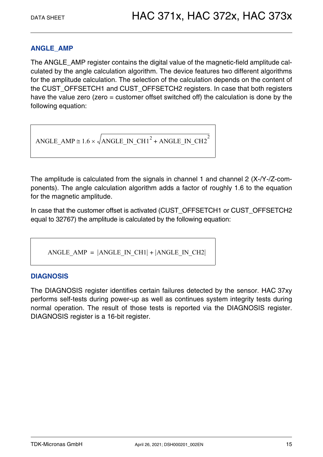### **ANGLE\_AMP**

The ANGLE\_AMP register contains the digital value of the magnetic-field amplitude calculated by the angle calculation algorithm. The device features two different algorithms for the amplitude calculation. The selection of the calculation depends on the content of the CUST\_OFFSETCH1 and CUST\_OFFSETCH2 registers. In case that both registers have the value zero (zero = customer offset switched off) the calculation is done by the following equation:

$$
ANGLE\_AMP \cong 1.6 \times \sqrt{ANGLE\_IN\_CH1}^2 + ANGLE\_IN\_CH2}^2
$$

The amplitude is calculated from the signals in channel 1 and channel 2 (X-/Y-/Z-components). The angle calculation algorithm adds a factor of roughly 1.6 to the equation for the magnetic amplitude.

In case that the customer offset is activated (CUST\_OFFSETCH1 or CUST\_OFFSETCH2 equal to 32767) the amplitude is calculated by the following equation:

ANGLE AMP =  $|$ ANGLE IN CH1 $|$  +  $|$ ANGLE IN CH2 $|$ 

#### **DIAGNOSIS**

The DIAGNOSIS register identifies certain failures detected by the sensor. HAC 37xy performs self-tests during power-up as well as continues system integrity tests during normal operation. The result of those tests is reported via the DIAGNOSIS register. DIAGNOSIS register is a 16-bit register.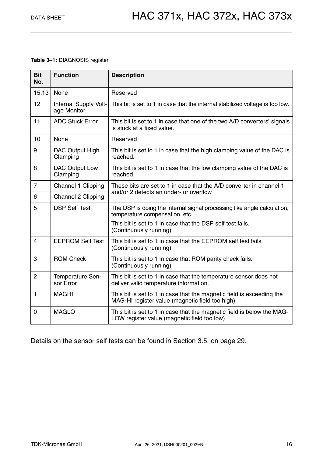#### **Table 3–1:** DIAGNOSIS register

| <b>Bit</b><br>No. | <b>Function</b>                      | <b>Description</b>                                                                                                       |
|-------------------|--------------------------------------|--------------------------------------------------------------------------------------------------------------------------|
| 15:13             | None                                 | Reserved                                                                                                                 |
| 12                | Internal Supply Volt-<br>age Monitor | This bit is set to 1 in case that the internal stabilized voltage is too low.                                            |
| 11                | <b>ADC Stuck Error</b>               | This bit is set to 1 in case that one of the two A/D converters' signals<br>is stuck at a fixed value.                   |
| 10                | None                                 | Reserved                                                                                                                 |
| 9                 | DAC Output High<br>Clamping          | This bit is set to 1 in case that the high clamping value of the DAC is<br>reached.                                      |
| 8                 | <b>DAC Output Low</b><br>Clamping    | This bit is set to 1 in case that the low clamping value of the DAC is<br>reached.                                       |
| $\overline{7}$    | Channel 1 Clipping                   | These bits are set to 1 in case that the A/D converter in channel 1                                                      |
| 6                 | Channel 2 Clipping                   | and/or 2 detects an under- or overflow                                                                                   |
| 5                 | <b>DSP Self Test</b>                 | The DSP is doing the internal signal processing like angle calculation,<br>temperature compensation, etc.                |
|                   |                                      | This bit is set to 1 in case that the DSP self test fails.<br>(Continuously running)                                     |
| $\overline{4}$    | <b>EEPROM Self Test</b>              | This bit is set to 1 in case that the EEPROM self test fails.<br>(Continuously running)                                  |
| 3                 | <b>ROM Check</b>                     | This bit is set to 1 in case that ROM parity check fails.<br>(Continuously running)                                      |
| 2                 | Temperature Sen-<br>sor Error        | This bit is set to 1 in case that the temperature sensor does not<br>deliver valid temperature information.              |
| 1                 | <b>MAGHI</b>                         | This bit is set to 1 in case that the magnetic field is exceeding the<br>MAG-HI register value (magnetic field too high) |
| 0                 | <b>MAGLO</b>                         | This bit is set to 1 in case that the magnetic field is below the MAG-<br>LOW register value (magnetic field too low)    |

Details on the sensor self tests can be found in [Section 3.5. on page 29](#page-28-0).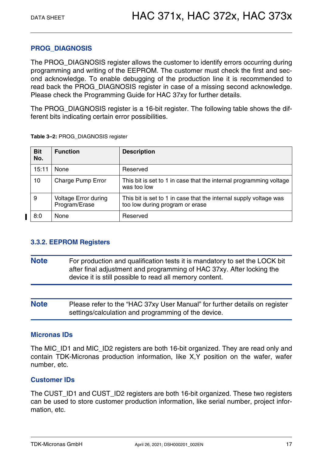### **PROG\_DIAGNOSIS**

The PROG\_DIAGNOSIS register allows the customer to identify errors occurring during programming and writing of the EEPROM. The customer must check the first and second acknowledge. To enable debugging of the production line it is recommended to read back the PROG\_DIAGNOSIS register in case of a missing second acknowledge. Please check the Programming Guide for HAC 37xy for further details.

The PROG\_DIAGNOSIS register is a 16-bit register. The following table shows the different bits indicating certain error possibilities.

| <b>Bit</b><br>No. | <b>Function</b>                              | <b>Description</b>                                                                                   |
|-------------------|----------------------------------------------|------------------------------------------------------------------------------------------------------|
| 15:11             | <b>None</b>                                  | Reserved                                                                                             |
| 10                | Charge Pump Error                            | This bit is set to 1 in case that the internal programming voltage<br>was too low                    |
| 9                 | <b>Voltage Error during</b><br>Program/Erase | This bit is set to 1 in case that the internal supply voltage was<br>too low during program or erase |
| 8:0               | <b>None</b>                                  | Reserved                                                                                             |

**Table 3–2:** PROG\_DIAGNOSIS register

### <span id="page-16-0"></span>**3.3.2. EEPROM Registers**

- **Note** For production and qualification tests it is mandatory to set the LOCK bit after final adjustment and programming of HAC 37xy. After locking the device it is still possible to read all memory content.
- **Note** Please refer to the "HAC 37xy User Manual" for further details on register settings/calculation and programming of the device.

### **Micronas IDs**

The MIC ID1 and MIC ID2 registers are both 16-bit organized. They are read only and contain TDK-Micronas production information, like X,Y position on the wafer, wafer number, etc.

### **Customer IDs**

The CUST\_ID1 and CUST\_ID2 registers are both 16-bit organized. These two registers can be used to store customer production information, like serial number, project information, etc.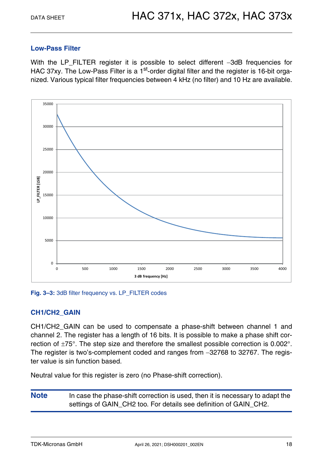#### **Low-Pass Filter**

With the LP\_FILTER register it is possible to select different -3dB frequencies for HAC 37xy. The Low-Pass Filter is a 1<sup>st</sup>-order digital filter and the register is 16-bit organized. Various typical filter frequencies between 4 kHz (no filter) and 10 Hz are available.



Fig. 3-3: 3dB filter frequency vs. LP\_FILTER codes

### **CH1/CH2\_GAIN**

CH1/CH2\_GAIN can be used to compensate a phase-shift between channel 1 and channel 2. The register has a length of 16 bits. It is possible to make a phase shift correction of  $\pm 75^{\circ}$ . The step size and therefore the smallest possible correction is 0.002 $^{\circ}$ . The register is two's-complement coded and ranges from -32768 to 32767. The register value is sin function based.

Neutral value for this register is zero (no Phase-shift correction).

**Note** In case the phase-shift correction is used, then it is necessary to adapt the settings of GAIN CH2 too. For details see definition of GAIN CH2.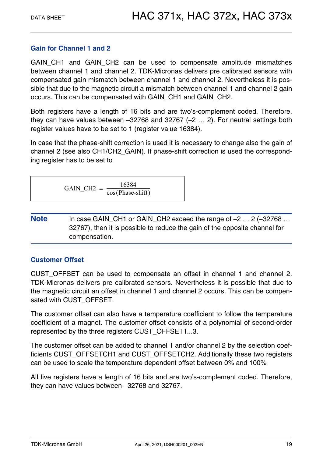### **Gain for Channel 1 and 2**

GAIN\_CH1 and GAIN\_CH2 can be used to compensate amplitude mismatches between channel 1 and channel 2. TDK-Micronas delivers pre calibrated sensors with compensated gain mismatch between channel 1 and channel 2. Nevertheless it is possible that due to the magnetic circuit a mismatch between channel 1 and channel 2 gain occurs. This can be compensated with GAIN\_CH1 and GAIN\_CH2.

Both registers have a length of 16 bits and are two's-complement coded. Therefore, they can have values between  $-32768$  and  $32767$  ( $-2$  ... 2). For neutral settings both register values have to be set to 1 (register value 16384).

In case that the phase-shift correction is used it is necessary to change also the gain of channel 2 (see also CH1/CH2\_GAIN). If phase-shift correction is used the corresponding register has to be set to

 $GAIN\_CH2 = \frac{16384}{\cos(\text{Phase-shift})}$ 

**Note** In case GAIN\_CH1 or GAIN\_CH2 exceed the range of  $-2$  ... 2 (-32768 ... 32767), then it is possible to reduce the gain of the opposite channel for compensation.

### **Customer Offset**

CUST\_OFFSET can be used to compensate an offset in channel 1 and channel 2. TDK-Micronas delivers pre calibrated sensors. Nevertheless it is possible that due to the magnetic circuit an offset in channel 1 and channel 2 occurs. This can be compensated with CUST\_OFFSET.

The customer offset can also have a temperature coefficient to follow the temperature coefficient of a magnet. The customer offset consists of a polynomial of second-order represented by the three registers CUST\_OFFSET1...3.

The customer offset can be added to channel 1 and/or channel 2 by the selection coefficients CUST\_OFFSETCH1 and CUST\_OFFSETCH2. Additionally these two registers can be used to scale the temperature dependent offset between 0% and 100%

All five registers have a length of 16 bits and are two's-complement coded. Therefore, they can have values between -32768 and 32767.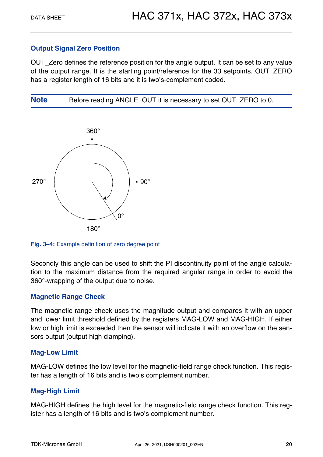### **Output Signal Zero Position**

OUT\_Zero defines the reference position for the angle output. It can be set to any value of the output range. It is the starting point/reference for the 33 setpoints. OUT\_ZERO has a register length of 16 bits and it is two's-complement coded.

**Note** Before reading ANGLE OUT it is necessary to set OUT ZERO to 0.



**Fig. 3–4:** Example definition of zero degree point

Secondly this angle can be used to shift the PI discontinuity point of the angle calculation to the maximum distance from the required angular range in order to avoid the 360°-wrapping of the output due to noise.

### **Magnetic Range Check**

The magnetic range check uses the magnitude output and compares it with an upper and lower limit threshold defined by the registers MAG-LOW and MAG-HIGH. If either low or high limit is exceeded then the sensor will indicate it with an overflow on the sensors output (output high clamping).

#### **Mag-Low Limit**

MAG-LOW defines the low level for the magnetic-field range check function. This register has a length of 16 bits and is two's complement number.

### **Mag-High Limit**

MAG-HIGH defines the high level for the magnetic-field range check function. This register has a length of 16 bits and is two's complement number.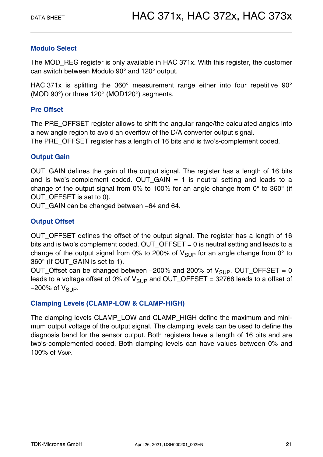### **Modulo Select**

The MOD\_REG register is only available in HAC 371x. With this register, the customer can switch between Modulo 90° and 120° output.

HAC 371x is splitting the 360° measurement range either into four repetitive 90° (MOD 90°) or three 120° (MOD120°) segments.

#### **Pre Offset**

The PRE\_OFFSET register allows to shift the angular range/the calculated angles into a new angle region to avoid an overflow of the D/A converter output signal.

The PRE\_OFFSET register has a length of 16 bits and is two's-complement coded.

### **Output Gain**

OUT\_GAIN defines the gain of the output signal. The register has a length of 16 bits and is two's-complement coded. OUT GAIN  $= 1$  is neutral setting and leads to a change of the output signal from 0% to 100% for an angle change from 0° to 360° (if OUT\_OFFSET is set to 0).

OUT GAIN can be changed between -64 and 64.

### **Output Offset**

OUT OFFSET defines the offset of the output signal. The register has a length of 16 bits and is two's complement coded. OUT\_OFFSET = 0 is neutral setting and leads to a change of the output signal from 0% to 200% of  $V_{SUP}$  for an angle change from 0° to 360° (If OUT\_GAIN is set to 1).

OUT\_Offset can be changed between  $-200\%$  and 200% of  $V_{SUP}$ . OUT\_OFFSET = 0 leads to a voltage offset of 0% of  $V_{SUP}$  and OUT\_OFFSET = 32768 leads to a offset of  $-200\%$  of  $V_{SUP}$ .

### **Clamping Levels (CLAMP-LOW & CLAMP-HIGH)**

The clamping levels CLAMP\_LOW and CLAMP\_HIGH define the maximum and minimum output voltage of the output signal. The clamping levels can be used to define the diagnosis band for the sensor output. Both registers have a length of 16 bits and are two's-complemented coded. Both clamping levels can have values between 0% and  $100\%$  of  $V_{SUP}$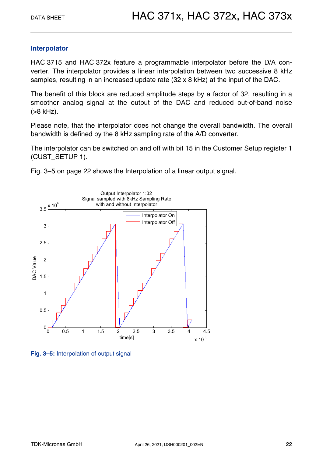### **Interpolator**

HAC 3715 and HAC 372x feature a programmable interpolator before the D/A converter. The interpolator provides a linear interpolation between two successive 8 kHz samples, resulting in an increased update rate (32 x 8 kHz) at the input of the DAC.

The benefit of this block are reduced amplitude steps by a factor of 32, resulting in a smoother analog signal at the output of the DAC and reduced out-of-band noise (>8 kHz).

Please note, that the interpolator does not change the overall bandwidth. The overall bandwidth is defined by the 8 kHz sampling rate of the A/D converter.

The interpolator can be switched on and off with bit 15 in the Customer Setup register 1 (CUST\_SETUP 1).

[Fig. 3–5 on page 22](#page-21-0) shows the Interpolation of a linear output signal.



<span id="page-21-0"></span>**Fig. 3–5:** Interpolation of output signal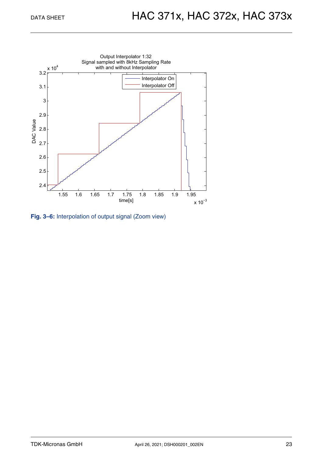

**Fig. 3–6:** Interpolation of output signal (Zoom view)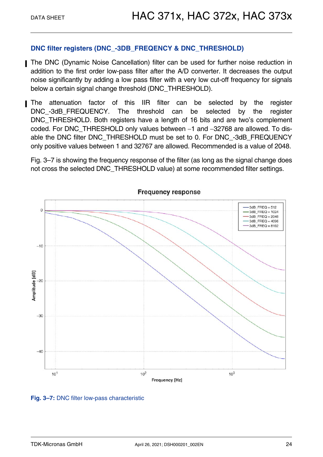### **DNC filter registers (DNC\_-3DB\_FREQENCY & DNC\_THRESHOLD)**

- The DNC (Dynamic Noise Cancellation) filter can be used for further noise reduction in addition to the first order low-pass filter after the A/D converter. It decreases the output noise significantly by adding a low pass filter with a very low cut-off frequency for signals below a certain signal change threshold (DNC\_THRESHOLD).
- The attenuation factor of this IIR filter can be selected by the register DNC-3dB\_FREQUENCY. The threshold can be selected by the register DNC THRESHOLD. Both registers have a length of 16 bits and are two's complement coded. For DNC\_THRESHOLD only values between -1 and -32768 are allowed. To disable the DNC filter DNC\_THRESHOLD must be set to 0. For DNC\_-3dB\_FREQUENCY only positive values between 1 and 32767 are allowed. Recommended is a value of 2048.

[Fig. 3–7](#page-23-0) is showing the frequency response of the filter (as long as the signal change does not cross the selected DNC\_THRESHOLD value) at some recommended filter settings.



#### <span id="page-23-0"></span>**Fig. 3–7:** DNC filter low-pass characteristic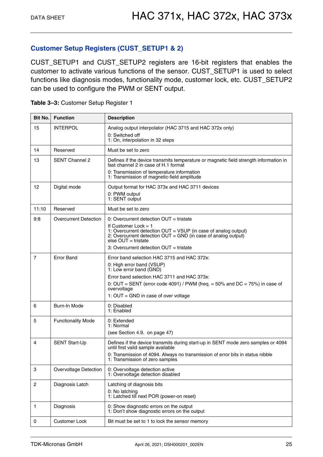#### **Customer Setup Registers (CUST\_SETUP1 & 2)**

CUST\_SETUP1 and CUST\_SETUP2 registers are 16-bit registers that enables the customer to activate various functions of the sensor. CUST\_SETUP1 is used to select functions like diagnosis modes, functionality mode, customer lock, etc. CUST\_SETUP2 can be used to configure the PWM or SENT output.

| <b>Bit No.</b> | <b>Function</b>              | <b>Description</b>                                                                                                                                                                                                                                                                         |
|----------------|------------------------------|--------------------------------------------------------------------------------------------------------------------------------------------------------------------------------------------------------------------------------------------------------------------------------------------|
| 15             | <b>INTERPOL</b>              | Analog output interpolator (HAC 3715 and HAC 372x only)<br>0: Switched off<br>1: On, interpolation in 32 steps                                                                                                                                                                             |
| 14             | Reserved                     | Must be set to zero                                                                                                                                                                                                                                                                        |
| 13             | <b>SENT Channel 2</b>        | Defines if the device transmits temperature or magnetic field strength information in<br>fast channel 2 in case of H.1 format<br>0: Transmission of temperature information<br>1: Transmission of magnetic-field amplitude                                                                 |
| 12             | Digital mode                 | Output format for HAC 373x and HAC 3711 devices<br>0: PWM output<br>1: SENT output                                                                                                                                                                                                         |
| 11:10          | Reserved                     | Must be set to zero                                                                                                                                                                                                                                                                        |
| 9:8            | <b>Overcurrent Detection</b> | 0: Overcurrent detection $OUT = tristate$<br>If Customer Lock $= 1$<br>1: Overcurrent detection OUT = VSUP (in case of analog output)<br>2: Overcurrent detection $OUT = GND$ (in case of analog output)<br>else $OUT = tristate$<br>3: Overcurrent detection $OUT = tristate$             |
| 7              | <b>Error Band</b>            | Error band selection HAC 3715 and HAC 372x:<br>0: High error band (VSUP)<br>1: Low error band (GND)<br>Error band selection HAC 3711 and HAC 373x:<br>0: OUT = SENT (error code 4091) / PWM (freq. = 50% and DC = 75%) in case of<br>overvoltage<br>1: $OUT = GND$ in case of over voltage |
| 6              | Burn-In Mode                 | 0: Disabled<br>1: Enabled                                                                                                                                                                                                                                                                  |
| 5              | <b>Functionality Mode</b>    | 0: Extended<br>1: Normal<br>(see Section 4.9. on page 47)                                                                                                                                                                                                                                  |
| 4              | <b>SENT Start-Up</b>         | Defines if the device transmits during start-up in SENT mode zero samples or 4094<br>until first valid sample available<br>0: Transmission of 4094. Always no transmission of error bits in status nibble<br>1: Transmission of zero samples                                               |
| 3              | Overvoltage Detection        | 0: Overvoltage detection active<br>1: Overvoltage detection disabled                                                                                                                                                                                                                       |
| $\overline{2}$ | Diagnosis Latch              | Latching of diagnosis bits<br>0: No latching<br>1: Latched till next POR (power-on reset)                                                                                                                                                                                                  |
| 1              | Diagnosis                    | 0: Show diagnostic errors on the output<br>1: Don't show diagnostic errors on the output                                                                                                                                                                                                   |
| 0              | <b>Customer Lock</b>         | Bit must be set to 1 to lock the sensor memory                                                                                                                                                                                                                                             |

<span id="page-24-0"></span>

| Table 3-3: Customer Setup Register 1 |  |  |  |  |
|--------------------------------------|--|--|--|--|
|--------------------------------------|--|--|--|--|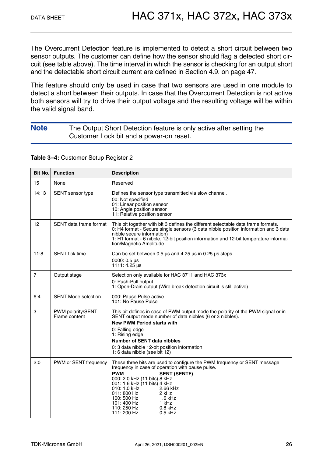The Overcurrent Detection feature is implemented to detect a short circuit between two sensor outputs. The customer can define how the sensor should flag a detected short circuit (see table above). The time interval in which the sensor is checking for an output short and the detectable short circuit current are defined in [Section 4.9. on page 47](#page-46-1).

This feature should only be used in case that two sensors are used in one module to detect a short between their outputs. In case that the Overcurrent Detection is not active both sensors will try to drive their output voltage and the resulting voltage will be within the valid signal band.

#### **Note** The Output Short Detection feature is only active after setting the Customer Lock bit and a power-on reset.

<span id="page-25-0"></span>**Table 3–4:** Customer Setup Register 2

| Bit No.        | <b>Function</b>                    | <b>Description</b>                                                                                                                                                                                                                                                                                                                                                                                |
|----------------|------------------------------------|---------------------------------------------------------------------------------------------------------------------------------------------------------------------------------------------------------------------------------------------------------------------------------------------------------------------------------------------------------------------------------------------------|
| 15             | None                               | Reserved                                                                                                                                                                                                                                                                                                                                                                                          |
| 14:13          | SENT sensor type                   | Defines the sensor type transmitted via slow channel.<br>00: Not specified<br>01: Linear position sensor<br>10: Angle position sensor<br>11: Relative position sensor                                                                                                                                                                                                                             |
| 12             | SENT data frame format             | This bit together with bit 3 defines the different selectable data frame formats.<br>0: H4 format - Secure single sensors (3 data nibble position information and 3 data<br>nibble secure information)<br>1: H1 format - 6 nibble. 12-bit position information and 12-bit temperature informa-<br>tion/Magnetic Amplitude                                                                         |
| 11:8           | <b>SENT</b> tick time              | Can be set between 0.5 $\mu$ s and 4.25 $\mu$ s in 0.25 $\mu$ s steps.<br>0000: $0.5 \,\mu s$<br>1111: 4.25 $\mu$ s                                                                                                                                                                                                                                                                               |
| $\overline{7}$ | Output stage                       | Selection only available for HAC 3711 and HAC 373x<br>0: Push-Pull output<br>1: Open-Drain output (Wire break detection circuit is still active)                                                                                                                                                                                                                                                  |
| 6:4            | <b>SENT Mode selection</b>         | 000: Pause Pulse active<br>101: No Pause Pulse                                                                                                                                                                                                                                                                                                                                                    |
| 3              | PWM polarity/SENT<br>Frame content | This bit defines in case of PWM output mode the polarity of the PWM signal or in<br>SENT output mode number of data nibbles (6 or 3 nibbles).<br><b>New PWM Period starts with</b><br>0: Falling edge<br>1: Rising edge<br><b>Number of SENT data nibbles</b><br>0: 3 data nibble 12-bit position information<br>1: 6 data nibble (see bit 12)                                                    |
| 2:0            | PWM or SENT frequency              | These three bits are used to configure the PWM frequency or SENT message<br>frequency in case of operation with pause pulse.<br><b>PWM</b><br><b>SENT (SENTF)</b><br>000: 2.0 kHz (11 bits) 8 kHz<br>001: 1.6 kHz (11 bits) 4 kHz<br>010: 1.0 kHz<br>2.66 kHz<br>011: 800 Hz<br>2 kHz<br>100: 500 Hz<br>$1.6$ kHz<br>101: 400 Hz<br>1 kHz<br>110: 250 Hz<br>$0.8$ kHz<br>111: 200 Hz<br>$0.5$ kHz |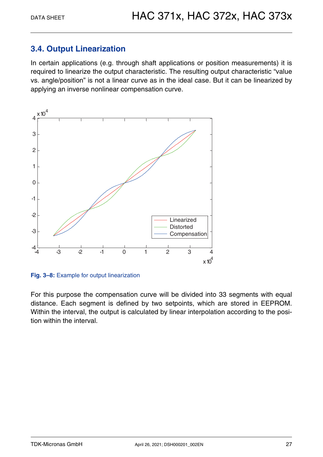### <span id="page-26-0"></span>**3.4. Output Linearization**

In certain applications (e.g. through shaft applications or position measurements) it is required to linearize the output characteristic. The resulting output characteristic "value vs. angle/position" is not a linear curve as in the ideal case. But it can be linearized by applying an inverse nonlinear compensation curve.



**Fig. 3–8:** Example for output linearization

For this purpose the compensation curve will be divided into 33 segments with equal distance. Each segment is defined by two setpoints, which are stored in EEPROM. Within the interval, the output is calculated by linear interpolation according to the position within the interval.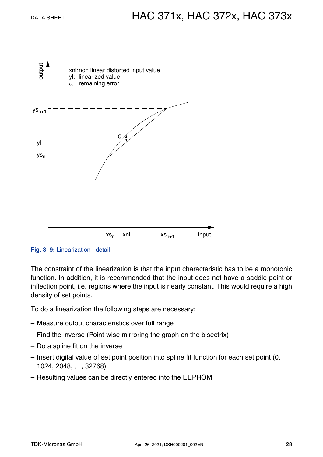



The constraint of the linearization is that the input characteristic has to be a monotonic function. In addition, it is recommended that the input does not have a saddle point or inflection point, i.e. regions where the input is nearly constant. This would require a high density of set points.

To do a linearization the following steps are necessary:

- Measure output characteristics over full range
- Find the inverse (Point-wise mirroring the graph on the bisectrix)
- Do a spline fit on the inverse
- Insert digital value of set point position into spline fit function for each set point (0, 1024, 2048, ..., 32768)
- Resulting values can be directly entered into the EEPROM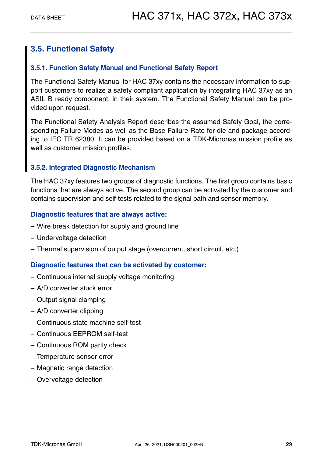### <span id="page-28-0"></span>**3.5. Functional Safety**

#### <span id="page-28-1"></span>**3.5.1. Function Safety Manual and Functional Safety Report**

The Functional Safety Manual for HAC 37xy contains the necessary information to support customers to realize a safety compliant application by integrating HAC 37xy as an ASIL B ready component, in their system. The Functional Safety Manual can be provided upon request.

The Functional Safety Analysis Report describes the assumed Safety Goal, the corresponding Failure Modes as well as the Base Failure Rate for die and package according to IEC TR 62380. It can be provided based on a TDK-Micronas mission profile as well as customer mission profiles.

#### <span id="page-28-2"></span>**3.5.2. Integrated Diagnostic Mechanism**

The HAC 37xy features two groups of diagnostic functions. The first group contains basic functions that are always active. The second group can be activated by the customer and contains supervision and self-tests related to the signal path and sensor memory.

#### **Diagnostic features that are always active:**

- Wire break detection for supply and ground line
- Undervoltage detection
- Thermal supervision of output stage (overcurrent, short circuit, etc.)

#### **Diagnostic features that can be activated by customer:**

- Continuous internal supply voltage monitoring
- A/D converter stuck error
- Output signal clamping
- A/D converter clipping
- Continuous state machine self-test
- Continuous EEPROM self-test
- Continuous ROM parity check
- Temperature sensor error
- Magnetic range detection
- Overvoltage detection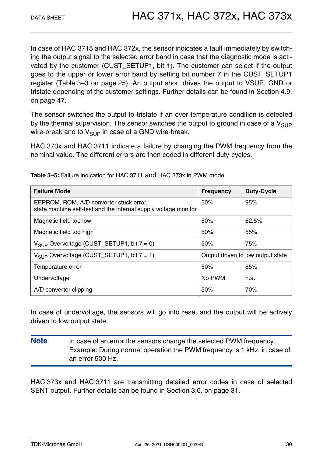In case of HAC 3715 and HAC 372x, the sensor indicates a fault immediately by switching the output signal to the selected error band in case that the diagnostic mode is activated by the customer (CUST\_SETUP1, bit 1). The customer can select if the output goes to the upper or lower error band by setting bit number 7 in the CUST\_SETUP1 register [\(Table 3–3 on page 25\)](#page-24-0). An output short drives the output to VSUP, GND or tristate depending of the customer settings. Further details can be found in [Section 4.9.](#page-46-1) [on page 47](#page-46-1).

The sensor switches the output to tristate if an over temperature condition is detected by the thermal supervision. The sensor switches the output to ground in case of a  $V_{\text{SUP}}$ wire-break and to  $V_{\text{SUP}}$  in case of a GND wire-break.

HAC 373x and HAC 3711 indicate a failure by changing the PWM frequency from the nominal value. The different errors are then coded in different duty-cycles.

| <b>Failure Mode</b>                                                                                        | <b>Frequency</b> | <b>Duty-Cycle</b>                 |
|------------------------------------------------------------------------------------------------------------|------------------|-----------------------------------|
| EEPROM, ROM, A/D converter stuck error,<br>state machine self-test and the internal supply voltage monitor | 50%              | 95%                               |
| Magnetic field too low                                                                                     | 50%              | 62.5%                             |
| Magnetic field too high                                                                                    | 50%              | 55%                               |
| $V_{SIIP}$ Overvoltage (CUST_SETUP1, bit $7 = 0$ )                                                         | 50%              | 75%                               |
| $V_{SIIP}$ Overvoltage (CUST_SETUP1, bit $7 = 1$ )                                                         |                  | Output driven to low output state |
| Temperature error                                                                                          | 50%              | 85%                               |
| Undervoltage                                                                                               | No PWM           | n.a.                              |
| A/D converter clipping                                                                                     | 50%              | 70%                               |

**Table 3–5:** Failure indication for HAC 3711 and HAC 373x in PWM mode

In case of undervoltage, the sensors will go into reset and the output will be actively driven to low output state.

**Note** In case of an error the sensors change the selected PWM frequency. Example: During normal operation the PWM frequency is 1 kHz, in case of an error 500 Hz.

HAC 373x and HAC 3711 are transmitting detailed error codes in case of selected SENT output. Further details can be found in [Section 3.6. on page 31](#page-30-0).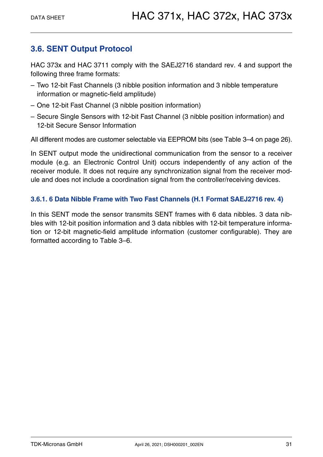### <span id="page-30-0"></span>**3.6. SENT Output Protocol**

HAC 373x and HAC 3711 comply with the SAEJ2716 standard rev. 4 and support the following three frame formats:

- Two 12-bit Fast Channels (3 nibble position information and 3 nibble temperature information or magnetic-field amplitude)
- One 12-bit Fast Channel (3 nibble position information)
- Secure Single Sensors with 12-bit Fast Channel (3 nibble position information) and 12-bit Secure Sensor Information

All different modes are customer selectable via EEPROM bits [\(see Table 3–4 on page 26\)](#page-25-0).

In SENT output mode the unidirectional communication from the sensor to a receiver module (e.g. an Electronic Control Unit) occurs independently of any action of the receiver module. It does not require any synchronization signal from the receiver module and does not include a coordination signal from the controller/receiving devices.

### <span id="page-30-1"></span>**3.6.1. 6 Data Nibble Frame with Two Fast Channels (H.1 Format SAEJ2716 rev. 4)**

In this SENT mode the sensor transmits SENT frames with 6 data nibbles. 3 data nibbles with 12-bit position information and 3 data nibbles with 12-bit temperature information or 12-bit magnetic-field amplitude information (customer configurable). They are formatted according to [Table 3–6.](#page-31-1)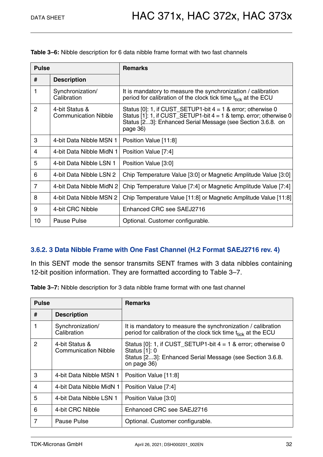| <b>Pulse</b>   |                                               | <b>Remarks</b>                                                                                                                                                                                                    |
|----------------|-----------------------------------------------|-------------------------------------------------------------------------------------------------------------------------------------------------------------------------------------------------------------------|
| #              | <b>Description</b>                            |                                                                                                                                                                                                                   |
| 1              | Synchronization/<br>Calibration               | It is mandatory to measure the synchronization / calibration<br>period for calibration of the clock tick time $t_{\text{tick}}$ at the ECU                                                                        |
| $\overline{2}$ | 4-bit Status &<br><b>Communication Nibble</b> | Status [0]: 1, if CUST_SETUP1-bit $4 = 1$ & error; otherwise 0<br>Status [1]: 1, if CUST_SETUP1-bit $4 = 1$ & temp. error; otherwise 0<br>Status [23]: Enhanced Serial Message (see Section 3.6.8. on<br>page 36) |
| 3              | 4-bit Data Nibble MSN 1                       | Position Value [11:8]                                                                                                                                                                                             |
| 4              | 4-bit Data Nibble MidN 1                      | Position Value [7:4]                                                                                                                                                                                              |
| 5              | 4-bit Data Nibble LSN 1                       | Position Value [3:0]                                                                                                                                                                                              |
| 6              | 4-bit Data Nibble LSN 2                       | Chip Temperature Value [3:0] or Magnetic Amplitude Value [3:0]                                                                                                                                                    |
| $\overline{7}$ | 4-bit Data Nibble MidN 2                      | Chip Temperature Value [7:4] or Magnetic Amplitude Value [7:4]                                                                                                                                                    |
| 8              | 4-bit Data Nibble MSN 2                       | Chip Temperature Value [11:8] or Magnetic Amplitude Value [11:8]                                                                                                                                                  |
| 9              | 4-bit CRC Nibble                              | Enhanced CRC see SAEJ2716                                                                                                                                                                                         |
| 10             | Pause Pulse                                   | Optional. Customer configurable.                                                                                                                                                                                  |

<span id="page-31-1"></span>**Table 3–6:** Nibble description for 6 data nibble frame format with two fast channels

### <span id="page-31-0"></span>**3.6.2. 3 Data Nibble Frame with One Fast Channel (H.2 Format SAEJ2716 rev. 4)**

In this SENT mode the sensor transmits SENT frames with 3 data nibbles containing 12-bit position information. They are formatted according to [Table 3–7.](#page-31-2)

<span id="page-31-2"></span>**Table 3–7:** Nibble description for 3 data nibble frame format with one fast channel

| <b>Pulse</b>   |                                               | <b>Remarks</b>                                                                                                                                             |
|----------------|-----------------------------------------------|------------------------------------------------------------------------------------------------------------------------------------------------------------|
| #              | <b>Description</b>                            |                                                                                                                                                            |
|                | Synchronization/<br>Calibration               | It is mandatory to measure the synchronization / calibration<br>period for calibration of the clock tick time $t_{\text{tick}}$ at the ECU                 |
| 2              | 4-bit Status &<br><b>Communication Nibble</b> | Status [0]: 1, if CUST_SETUP1-bit $4 = 1$ & error; otherwise 0<br>Status [1]: 0<br>Status [23]: Enhanced Serial Message (see Section 3.6.8.<br>on page 36) |
| 3              | 4-bit Data Nibble MSN 1                       | Position Value [11:8]                                                                                                                                      |
| 4              | 4-bit Data Nibble MidN 1                      | Position Value [7:4]                                                                                                                                       |
| 5              | 4-bit Data Nibble LSN 1                       | Position Value [3:0]                                                                                                                                       |
| 6              | 4-bit CRC Nibble                              | Enhanced CRC see SAEJ2716                                                                                                                                  |
| $\overline{7}$ | Pause Pulse                                   | Optional. Customer configurable.                                                                                                                           |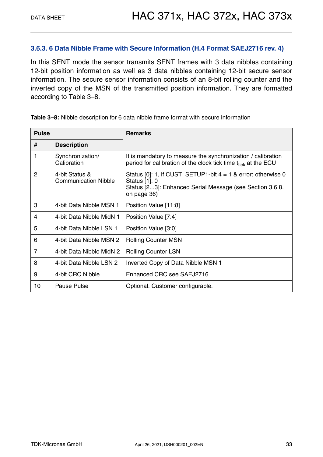#### <span id="page-32-0"></span>**3.6.3. 6 Data Nibble Frame with Secure Information (H.4 Format SAEJ2716 rev. 4)**

In this SENT mode the sensor transmits SENT frames with 3 data nibbles containing 12-bit position information as well as 3 data nibbles containing 12-bit secure sensor information. The secure sensor information consists of an 8-bit rolling counter and the inverted copy of the MSN of the transmitted position information. They are formatted according to [Table 3–8](#page-32-1).

| <b>Pulse</b>   |                                               | <b>Remarks</b>                                                                                                                                                |
|----------------|-----------------------------------------------|---------------------------------------------------------------------------------------------------------------------------------------------------------------|
| #              | <b>Description</b>                            |                                                                                                                                                               |
| 1              | Synchronization/<br>Calibration               | It is mandatory to measure the synchronization / calibration<br>period for calibration of the clock tick time t <sub>tick</sub> at the ECU                    |
| 2              | 4-bit Status &<br><b>Communication Nibble</b> | Status $[0]$ : 1, if CUST_SETUP1-bit $4 = 1$ & error; otherwise 0<br>Status [1]: 0<br>Status [23]: Enhanced Serial Message (see Section 3.6.8.<br>on page 36) |
| 3              | 4-bit Data Nibble MSN 1                       | Position Value [11:8]                                                                                                                                         |
| 4              | 4-bit Data Nibble MidN 1                      | Position Value [7:4]                                                                                                                                          |
| 5              | 4-bit Data Nibble LSN 1                       | Position Value [3:0]                                                                                                                                          |
| 6              | 4-bit Data Nibble MSN 2                       | <b>Rolling Counter MSN</b>                                                                                                                                    |
| $\overline{7}$ | 4-bit Data Nibble MidN 2                      | Rolling Counter LSN                                                                                                                                           |
| 8              | 4-bit Data Nibble LSN 2                       | Inverted Copy of Data Nibble MSN 1                                                                                                                            |
| 9              | 4-bit CRC Nibble                              | Enhanced CRC see SAEJ2716                                                                                                                                     |
| 10             | Pause Pulse                                   | Optional. Customer configurable.                                                                                                                              |

<span id="page-32-1"></span>**Table 3–8:** Nibble description for 6 data nibble frame format with secure information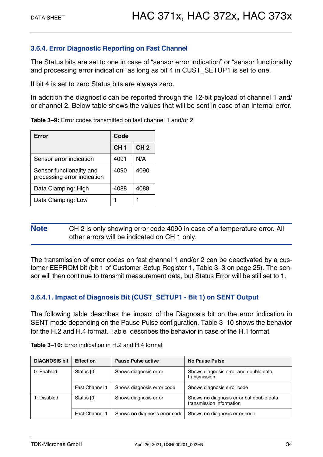#### <span id="page-33-0"></span>**3.6.4. Error Diagnostic Reporting on Fast Channel**

The Status bits are set to one in case of "sensor error indication" or "sensor functionality and processing error indication" as long as bit 4 in CUST\_SETUP1 is set to one.

If bit 4 is set to zero Status bits are always zero.

In addition the diagnostic can be reported through the 12-bit payload of channel 1 and/ or channel 2. Below table shows the values that will be sent in case of an internal error.

|  |  |  |  |  | Table 3-9: Error codes transmitted on fast channel 1 and/or 2 |  |  |
|--|--|--|--|--|---------------------------------------------------------------|--|--|
|--|--|--|--|--|---------------------------------------------------------------|--|--|

| Error                                                   | Code            |                 |  |
|---------------------------------------------------------|-----------------|-----------------|--|
|                                                         | CH <sub>1</sub> | CH <sub>2</sub> |  |
| Sensor error indication                                 | 4091            | N/A             |  |
| Sensor functionality and<br>processing error indication | 4090            | 4090            |  |
| Data Clamping: High                                     | 4088            | 4088            |  |
| Data Clamping: Low                                      |                 |                 |  |

**Note** CH 2 is only showing error code 4090 in case of a temperature error. All other errors will be indicated on CH 1 only.

The transmission of error codes on fast channel 1 and/or 2 can be deactivated by a customer EEPROM bit (bit 1 of Customer Setup Register 1, [Table 3–3 on page 25\)](#page-24-0). The sensor will then continue to transmit measurement data, but Status Error will be still set to 1.

### <span id="page-33-1"></span>**3.6.4.1. Impact of Diagnosis Bit (CUST\_SETUP1 - Bit 1) on SENT Output**

The following table describes the impact of the Diagnosis bit on the error indication in SENT mode depending on the Pause Pulse configuration. [Table 3–10](#page-33-2) shows the behavior for the H.2 and H.4 format. [Table](#page-34-3) describes the behavior in case of the H.1 format.

| <b>DIAGNOSIS bit</b>     | <b>Effect on</b> | <b>Pause Pulse active</b>     | <b>No Pause Pulse</b>                                                |
|--------------------------|------------------|-------------------------------|----------------------------------------------------------------------|
| 0: Enabled<br>Status [0] |                  | Shows diagnosis error         | Shows diagnosis error and double data<br>transmission                |
|                          | Fast Channel 1   | Shows diagnosis error code    | Shows diagnosis error code                                           |
| 1: Disabled              | Status [0]       | Shows diagnosis error         | Shows no diagnosis error but double data<br>transmission information |
|                          | Fast Channel 1   | Shows no diagnosis error code | Shows no diagnosis error code                                        |

<span id="page-33-2"></span>

| <b>Table 3-10:</b> Error indication in H.2 and H.4 format |  |  |  |
|-----------------------------------------------------------|--|--|--|
|-----------------------------------------------------------|--|--|--|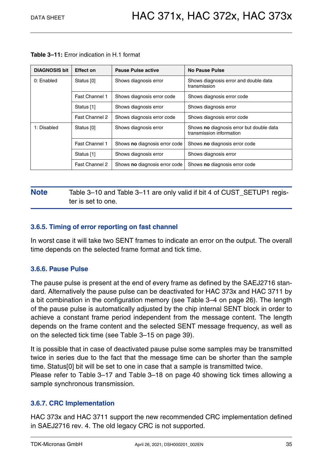| <b>DIAGNOSIS bit</b>      | <b>Effect on</b>      | <b>Pause Pulse active</b>     | No Pause Pulse                                                       |
|---------------------------|-----------------------|-------------------------------|----------------------------------------------------------------------|
| 0: Enabled                | Status [0]            | Shows diagnosis error         | Shows diagnosis error and double data<br>transmission                |
| Fast Channel 1            |                       | Shows diagnosis error code    | Shows diagnosis error code                                           |
|                           | Status [1]            | Shows diagnosis error         | Shows diagnosis error                                                |
|                           | Fast Channel 2        | Shows diagnosis error code    | Shows diagnosis error code                                           |
| 1: Disabled<br>Status [0] |                       | Shows diagnosis error         | Shows no diagnosis error but double data<br>transmission information |
|                           | <b>Fast Channel 1</b> | Shows no diagnosis error code | Shows no diagnosis error code                                        |
|                           | Status [1]            | Shows diagnosis error         | Shows diagnosis error                                                |
|                           | Fast Channel 2        | Shows no diagnosis error code | Shows no diagnosis error code                                        |

<span id="page-34-4"></span><span id="page-34-3"></span>**Table 3–11:** Error indication in H.1 format

### **Note** [Table 3–10](#page-33-2) and [Table 3–11](#page-34-4) are only valid if bit 4 of CUST\_SETUP1 register is set to one.

#### <span id="page-34-0"></span>**3.6.5. Timing of error reporting on fast channel**

In worst case it will take two SENT frames to indicate an error on the output. The overall time depends on the selected frame format and tick time.

#### <span id="page-34-1"></span>**3.6.6. Pause Pulse**

The pause pulse is present at the end of every frame as defined by the SAEJ2716 standard. Alternatively the pause pulse can be deactivated for HAC 373x and HAC 3711 by a bit combination in the configuration memory [\(see Table 3–4 on page 26\)](#page-25-0). The length of the pause pulse is automatically adjusted by the chip internal SENT block in order to achieve a constant frame period independent from the message content. The length depends on the frame content and the selected SENT message frequency, as well as on the selected tick time [\(see Table 3–15 on page 39\).](#page-38-1)

It is possible that in case of deactivated pause pulse some samples may be transmitted twice in series due to the fact that the message time can be shorter than the sample time. Status[0] bit will be set to one in case that a sample is transmitted twice. Please refer to [Table 3–17](#page-39-0) and [Table 3–18 on page 40](#page-39-1) showing tick times allowing a sample synchronous transmission.

### <span id="page-34-2"></span>**3.6.7. CRC Implementation**

HAC 373x and HAC 3711 support the new recommended CRC implementation defined in SAEJ2716 rev. 4. The old legacy CRC is not supported.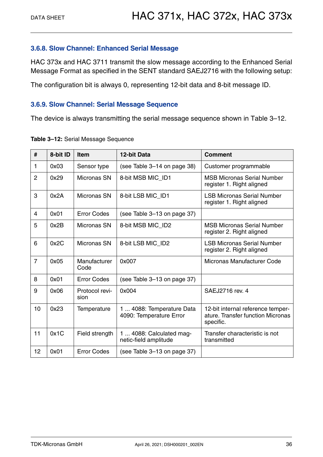#### <span id="page-35-0"></span>**3.6.8. Slow Channel: Enhanced Serial Message**

HAC 373x and HAC 3711 transmit the slow message according to the Enhanced Serial Message Format as specified in the SENT standard SAEJ2716 with the following setup:

The configuration bit is always 0, representing 12-bit data and 8-bit message ID.

#### <span id="page-35-1"></span>**3.6.9. Slow Channel: Serial Message Sequence**

The device is always transmitting the serial message sequence shown in [Table 3–12.](#page-35-2)

| #              | 8-bit ID | <b>Item</b>            | 12-bit Data                                          | <b>Comment</b>                                                                      |
|----------------|----------|------------------------|------------------------------------------------------|-------------------------------------------------------------------------------------|
| 1              | 0x03     | Sensor type            | (see Table 3-14 on page 38)                          | Customer programmable                                                               |
| $\overline{2}$ | 0x29     | Micronas SN            | 8-bit MSB MIC ID1                                    | <b>MSB Micronas Serial Number</b><br>register 1. Right aligned                      |
| 3              | 0x2A     | Micronas SN            | 8-bit LSB MIC_ID1                                    | <b>LSB Micronas Serial Number</b><br>register 1. Right aligned                      |
| 4              | 0x01     | <b>Error Codes</b>     | (see Table 3-13 on page 37)                          |                                                                                     |
| 5              | 0x2B     | Micronas SN            | 8-bit MSB MIC_ID2                                    | <b>MSB Micronas Serial Number</b><br>register 2. Right aligned                      |
| 6              | 0x2C     | Micronas SN            | 8-bit LSB MIC_ID2                                    | <b>LSB Micronas Serial Number</b><br>register 2. Right aligned                      |
| $\overline{7}$ | 0x05     | Manufacturer<br>Code   | 0x007                                                | Micronas Manufacturer Code                                                          |
| 8              | 0x01     | <b>Error Codes</b>     | (see Table 3-13 on page 37)                          |                                                                                     |
| 9              | 0x06     | Protocol revi-<br>sion | 0x004                                                | SAEJ2716 rev. 4                                                                     |
| 10             | 0x23     | Temperature            | 1  4088: Temperature Data<br>4090: Temperature Error | 12-bit internal reference temper-<br>ature. Transfer function Micronas<br>specific. |
| 11             | 0x1C     | Field strength         | 1  4088: Calculated mag-<br>netic-field amplitude    | Transfer characteristic is not<br>transmitted                                       |
| 12             | 0x01     | <b>Error Codes</b>     | (see Table 3-13 on page 37)                          |                                                                                     |

#### <span id="page-35-2"></span>**Table 3–12:** Serial Message Sequence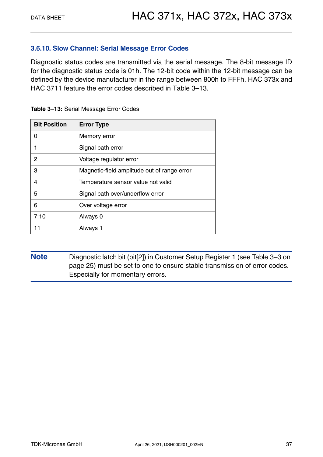#### <span id="page-36-0"></span>**3.6.10. Slow Channel: Serial Message Error Codes**

Diagnostic status codes are transmitted via the serial message. The 8-bit message ID for the diagnostic status code is 01h. The 12-bit code within the 12-bit message can be defined by the device manufacturer in the range between 800h to FFFh. HAC 373x and HAC 3711 feature the error codes described in [Table 3–13](#page-36-1).

| <b>Bit Position</b> | <b>Error Type</b>                           |
|---------------------|---------------------------------------------|
| N                   | Memory error                                |
|                     | Signal path error                           |
| 2                   | Voltage regulator error                     |
| 3                   | Magnetic-field amplitude out of range error |
| 4                   | Temperature sensor value not valid          |
| 5                   | Signal path over/underflow error            |
| 6                   | Over voltage error                          |
| 7:10                | Always 0                                    |
| 11                  | Always 1                                    |

<span id="page-36-1"></span>**Table 3–13:** Serial Message Error Codes

**Note** Diagnostic latch bit (bit[2]) in Customer Setup Register 1 [\(see Table 3–3 on](#page-24-0)  [page 25\)](#page-24-0) must be set to one to ensure stable transmission of error codes. Especially for momentary errors.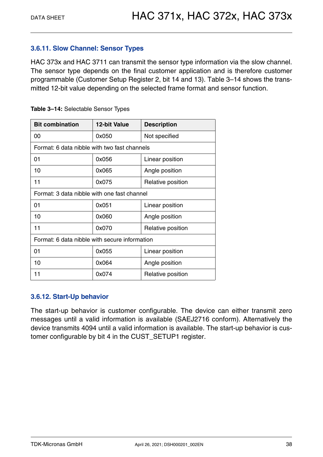### <span id="page-37-0"></span>**3.6.11. Slow Channel: Sensor Types**

HAC 373x and HAC 3711 can transmit the sensor type information via the slow channel. The sensor type depends on the final customer application and is therefore customer programmable (Customer Setup Register 2, bit 14 and 13). [Table 3–14](#page-37-2) shows the transmitted 12-bit value depending on the selected frame format and sensor function.

| <b>Bit combination</b>                        | <b>12-bit Value</b> | <b>Description</b> |  |  |  |  |
|-----------------------------------------------|---------------------|--------------------|--|--|--|--|
| 00                                            | 0x050               | Not specified      |  |  |  |  |
| Format: 6 data nibble with two fast channels  |                     |                    |  |  |  |  |
| 01                                            | 0x056               | Linear position    |  |  |  |  |
| 10                                            | 0x065               | Angle position     |  |  |  |  |
| 11                                            | 0x075               | Relative position  |  |  |  |  |
| Format: 3 data nibble with one fast channel   |                     |                    |  |  |  |  |
| 01                                            | 0x051               | Linear position    |  |  |  |  |
| 10                                            | 0x060               | Angle position     |  |  |  |  |
| 11                                            | 0x070               | Relative position  |  |  |  |  |
| Format: 6 data nibble with secure information |                     |                    |  |  |  |  |
| 01                                            | 0x055               | Linear position    |  |  |  |  |
| 10                                            | 0x064               | Angle position     |  |  |  |  |
| 11                                            | 0x074               | Relative position  |  |  |  |  |

<span id="page-37-2"></span>

|  |  |  | Table 3-14: Selectable Sensor Types |  |  |
|--|--|--|-------------------------------------|--|--|
|--|--|--|-------------------------------------|--|--|

### <span id="page-37-1"></span>**3.6.12. Start-Up behavior**

The start-up behavior is customer configurable. The device can either transmit zero messages until a valid information is available (SAEJ2716 conform). Alternatively the device transmits 4094 until a valid information is available. The start-up behavior is customer configurable by bit 4 in the CUST\_SETUP1 register.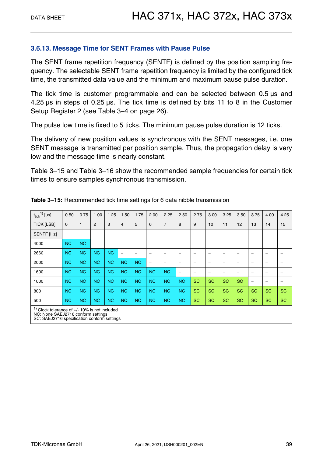#### <span id="page-38-0"></span>**3.6.13. Message Time for SENT Frames with Pause Pulse**

The SENT frame repetition frequency (SENTF) is defined by the position sampling frequency. The selectable SENT frame repetition frequency is limited by the configured tick time, the transmitted data value and the minimum and maximum pause pulse duration.

The tick time is customer programmable and can be selected between 0.5 µs and 4.25 µs in steps of 0.25 µs. The tick time is defined by bits 11 to 8 in the Customer Setup Register 2 [\(see Table 3–4 on page 26\).](#page-25-0)

The pulse low time is fixed to 5 ticks. The minimum pause pulse duration is 12 ticks.

The delivery of new position values is synchronous with the SENT messages, i.e. one SENT message is transmitted per position sample. Thus, the propagation delay is very low and the message time is nearly constant.

[Table 3–15](#page-38-1) and [Table 3–16](#page-39-2) show the recommended sample frequencies for certain tick times to ensure samples synchronous transmission.

| $t_{tick}$ <sup>1)</sup> [µs]                                                                                                          | 0.50           | 0.75         | 1.00                     | 1.25                     | 1.50      | 1.75                     | 2.00                     | 2.25                     | 2.50                     | 2.75      | 3.00      | 3.25      | 3.50      | 3.75      | 4.00                     | 4.25                     |
|----------------------------------------------------------------------------------------------------------------------------------------|----------------|--------------|--------------------------|--------------------------|-----------|--------------------------|--------------------------|--------------------------|--------------------------|-----------|-----------|-----------|-----------|-----------|--------------------------|--------------------------|
| <b>TICK [LSB]</b>                                                                                                                      | $\mathbf 0$    | $\mathbf{1}$ | $\overline{2}$           | 3                        | 4         | 5                        | 6                        | $\overline{7}$           | 8                        | 9         | 10        | 11        | 12        | 13        | 14                       | 15                       |
| SENTF [Hz]                                                                                                                             |                |              |                          |                          |           |                          |                          |                          |                          |           |           |           |           |           |                          |                          |
| 4000                                                                                                                                   | <b>NC</b>      | <b>NC</b>    | $\overline{\phantom{m}}$ | $\overline{\phantom{0}}$ |           | $\overline{\phantom{0}}$ |                          | $\overline{\phantom{0}}$ | $\overline{\phantom{0}}$ | -         |           |           |           | -         | $\equiv$                 | $\overline{\phantom{a}}$ |
| 2660                                                                                                                                   | N <sub>C</sub> | <b>NC</b>    | <b>NC</b>                | <b>NC</b>                | -         |                          |                          | $\equiv$                 | $\equiv$                 |           | -         |           |           | -         | $\overline{\phantom{0}}$ |                          |
| 2000                                                                                                                                   | <b>NC</b>      | <b>NC</b>    | <b>NC</b>                | <b>NC</b>                | <b>NC</b> | <b>NC</b>                | $\overline{\phantom{0}}$ | $\overline{\phantom{0}}$ | -                        |           |           |           |           | -         | $\equiv$                 |                          |
| 1600                                                                                                                                   | <b>NC</b>      | <b>NC</b>    | <b>NC</b>                | <b>NC</b>                | <b>NC</b> | <b>NC</b>                | <b>NC</b>                | <b>NC</b>                |                          |           |           |           |           | -         | $\equiv$                 |                          |
| 1000                                                                                                                                   | <b>NC</b>      | <b>NC</b>    | <b>NC</b>                | <b>NC</b>                | <b>NC</b> | N <sub>C</sub>           | <b>NC</b>                | <b>NC</b>                | <b>NC</b>                | <b>SC</b> | <b>SC</b> | <b>SC</b> | <b>SC</b> | -         | $\equiv$                 | $\qquad \qquad -$        |
| 800                                                                                                                                    | <b>NC</b>      | <b>NC</b>    | <b>NC</b>                | <b>NC</b>                | <b>NC</b> | N <sub>C</sub>           | N <sub>C</sub>           | <b>NC</b>                | <b>NC</b>                | <b>SC</b> | <b>SC</b> | <b>SC</b> | <b>SC</b> | <b>SC</b> | <b>SC</b>                | <b>SC</b>                |
| 500                                                                                                                                    | <b>NC</b>      | <b>NC</b>    | <b>NC</b>                | <b>NC</b>                | <b>NC</b> | N <sub>C</sub>           | N <sub>C</sub>           | <b>NC</b>                | <b>NC</b>                | <b>SC</b> | <b>SC</b> | <b>SC</b> | <b>SC</b> | <b>SC</b> | <b>SC</b>                | <b>SC</b>                |
| $1$ Clock tolerance of $+/- 10\%$ is not included<br>NC: None SAEJ2716 conform settings<br>SC: SAEJ2716 specification conform settings |                |              |                          |                          |           |                          |                          |                          |                          |           |           |           |           |           |                          |                          |

<span id="page-38-1"></span>**Table 3–15:** Recommended tick time settings for 6 data nibble transmission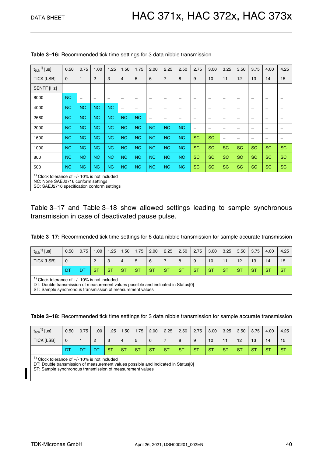| $t_{tick}$ <sup>1)</sup> [µs] | 0.50                                                                                                                                   | 0.75                     | 1.00                     | 1.25                     | 1.50      | 1.75      | 2.00                     | 2.25                     | 2.50                     | 2.75            | 3.00      | 3.25      | 3.50                     | 3.75                     | 4.00                     | 4.25      |
|-------------------------------|----------------------------------------------------------------------------------------------------------------------------------------|--------------------------|--------------------------|--------------------------|-----------|-----------|--------------------------|--------------------------|--------------------------|-----------------|-----------|-----------|--------------------------|--------------------------|--------------------------|-----------|
| <b>TICK [LSB]</b>             | $\mathbf 0$                                                                                                                            | 1                        | $\overline{2}$           | 3                        | 4         | 5         | 6                        | $\overline{7}$           | 8                        | 9               | 10        | 11        | 12                       | 13                       | 14                       | 15        |
| SENTF [Hz]                    |                                                                                                                                        |                          |                          |                          |           |           |                          |                          |                          |                 |           |           |                          |                          |                          |           |
| 8000                          | <b>NC</b>                                                                                                                              | $\overline{\phantom{0}}$ | $\overline{\phantom{0}}$ | $\overline{\phantom{0}}$ | -         | -         | -                        | $\overline{\phantom{0}}$ |                          |                 |           | -         | $\overline{\phantom{0}}$ | $\overline{\phantom{0}}$ | $\overline{\phantom{0}}$ |           |
| 4000                          | <b>NC</b>                                                                                                                              | <b>NC</b>                | <b>NC</b>                | <b>NC</b>                | -         | -         | -                        | $\overline{\phantom{0}}$ | $\overline{\phantom{0}}$ |                 | -         | -         | -                        |                          | -                        |           |
| 2660                          | <b>NC</b>                                                                                                                              | <b>NC</b>                | <b>NC</b>                | <b>NC</b>                | <b>NC</b> | <b>NC</b> | $\overline{\phantom{0}}$ |                          | -                        |                 | -         | -         | $\overline{\phantom{0}}$ |                          | $\overline{\phantom{0}}$ |           |
| 2000                          | <b>NC</b>                                                                                                                              | <b>NC</b>                | <b>NC</b>                | <b>NC</b>                | <b>NC</b> | <b>NC</b> | <b>NC</b>                | <b>NC</b>                | <b>NC</b>                | $\qquad \qquad$ | -         | -         | -                        | $\overline{\phantom{0}}$ | $\overline{\phantom{m}}$ |           |
| 1600                          | <b>NC</b>                                                                                                                              | <b>NC</b>                | <b>NC</b>                | <b>NC</b>                | <b>NC</b> | <b>NC</b> | <b>NC</b>                | <b>NC</b>                | <b>NC</b>                | <b>SC</b>       | <b>SC</b> | -         |                          | -                        | $\overline{\phantom{a}}$ |           |
| 1000                          | <b>NC</b>                                                                                                                              | <b>NC</b>                | <b>NC</b>                | <b>NC</b>                | <b>NC</b> | <b>NC</b> | <b>NC</b>                | <b>NC</b>                | <b>NC</b>                | <b>SC</b>       | <b>SC</b> | <b>SC</b> | <b>SC</b>                | <b>SC</b>                | <b>SC</b>                | <b>SC</b> |
| 800                           | <b>NC</b>                                                                                                                              | <b>NC</b>                | <b>NC</b>                | <b>NC</b>                | <b>NC</b> | <b>NC</b> | <b>NC</b>                | <b>NC</b>                | <b>NC</b>                | <b>SC</b>       | <b>SC</b> | <b>SC</b> | <b>SC</b>                | <b>SC</b>                | <b>SC</b>                | <b>SC</b> |
| 500                           | <b>NC</b>                                                                                                                              | <b>NC</b>                | <b>NC</b>                | <b>NC</b>                | <b>NC</b> | <b>NC</b> | <b>NC</b>                | <b>NC</b>                | <b>NC</b>                | <b>SC</b>       | <b>SC</b> | <b>SC</b> | <b>SC</b>                | <b>SC</b>                | <b>SC</b>                | <b>SC</b> |
|                               | $1$ Clock tolerance of $+/- 10\%$ is not included<br>NC: None SAEJ2716 conform settings<br>SC: SAEJ2716 specification conform settings |                          |                          |                          |           |           |                          |                          |                          |                 |           |           |                          |                          |                          |           |

<span id="page-39-2"></span>

[Table 3–17](#page-39-0) and [Table 3–18](#page-39-1) show allowed settings leading to sample synchronous transmission in case of deactivated pause pulse.

<span id="page-39-0"></span>**Table 3–17:** Recommended tick time settings for 6 data nibble transmission for sample accurate transmission

| $\binom{1}{ }$ [µs]<br>$t_{tick}$                                                                                                                                                | 0.50 | 0.75 | 1.00           | 1.25 | .50 | 1.75 | 2.00 | 2.25 | 2.50 | 2.75 | 3.00 | 3.25 | 3.50 | 3.75 | 4.00 | 4.25 |
|----------------------------------------------------------------------------------------------------------------------------------------------------------------------------------|------|------|----------------|------|-----|------|------|------|------|------|------|------|------|------|------|------|
| TICK [LSB]                                                                                                                                                                       | 0    |      | $\overline{2}$ | 3    | 4   | 5    | 6    |      | 8    | 9    | 10   | 11   | 12   | 13   | 14   | 15   |
| <b>ST</b><br><b>ST</b><br><b>ST</b><br>ST<br><b>ST</b><br><b>ST</b><br>ST<br><b>ST</b><br><b>ST</b><br><b>ST</b><br><b>ST</b><br><b>ST</b><br><b>ST</b><br><b>ST</b><br>DT<br>DT |      |      |                |      |     |      |      |      |      |      |      |      |      |      |      |      |
| $\frac{1}{1}$ Clock tolerance of $+/-10\%$ is not included                                                                                                                       |      |      |                |      |     |      |      |      |      |      |      |      |      |      |      |      |

 $1)$  Clock tolerance of  $+/-10\%$  is not included

DT: Double transmission of measurement values possible and indicated in Status[0]

ST: Sample synchronous transmission of measurement values

<span id="page-39-1"></span>**Table 3–18:** Recommended tick time settings for 3 data nibble transmission for sample accurate transmission

| $t_{\sf tick}$ <sup>1)</sup> [µs] | 0.50 | 0.75 | .00.           | 1.25      | .50 <sub>1</sub> | 1.75      | 2.00      | 2.25      | 2.50      | 2.75      | 3.00      | 3.25      | 3.50      | 3.75      | 4.00      | 4.25      |
|-----------------------------------|------|------|----------------|-----------|------------------|-----------|-----------|-----------|-----------|-----------|-----------|-----------|-----------|-----------|-----------|-----------|
| TICK [LSB]                        | 0    |      | 2              | 3         |                  | 5         | 6         | -         | 8         | 9         | 10        |           | 12        | 13        | 14        | 15        |
|                                   | DT   | D1   | D <sub>1</sub> | <b>ST</b> | <b>ST</b>        | <b>ST</b> | <b>ST</b> | <b>ST</b> | <b>ST</b> | <b>ST</b> | <b>ST</b> | <b>ST</b> | <b>ST</b> | <b>ST</b> | <b>ST</b> | <b>ST</b> |

 $1)$  Clock tolerance of  $+/- 10\%$  is not included

DT: Double transmission of measurement values possible and indicated in Status[0]

ST: Sample synchronous transmission of measurement values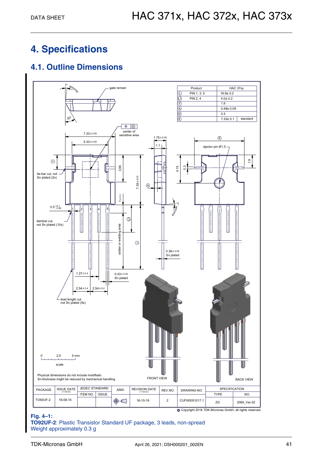## <span id="page-40-0"></span>**4. Specifications**

### <span id="page-40-1"></span>**4.1. Outline Dimensions**



#### **Fig. 4–1:**

**TO92UF-2**: Plastic Transistor Standard UF package, 3 leads, non-spread Weight approximately 0.3 g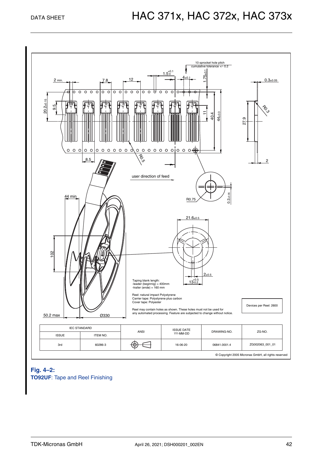

#### **Fig. 4–2: TO92UF**: Tape and Reel Finishing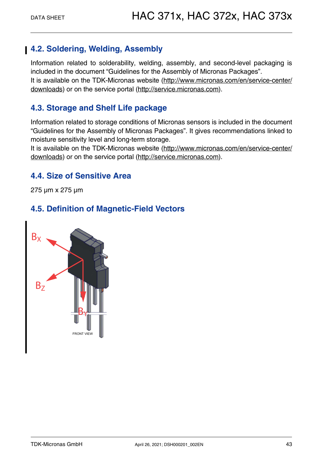### <span id="page-42-0"></span>**4.2. Soldering, Welding, Assembly**

Information related to solderability, welding, assembly, and second-level packaging is included in the document "Guidelines for the Assembly of Micronas Packages". It is available on the TDK-Micronas website [\(http://www.micronas.com/en/service-center/](http://www.micronas.com/en/service-center/downloads) [download](http://www.micronas.com/en/service-center/downloads)s) or on the service portal [\(http://service.micronas.com\)](http://service.micronas.com).

### <span id="page-42-1"></span>**4.3. Storage and Shelf Life package**

Information related to storage conditions of Micronas sensors is included in the document "Guidelines for the Assembly of Micronas Packages". It gives recommendations linked to moisture sensitivity level and long-term storage.

It is available on the TDK-Micronas website [\(http://www.micronas.com/en/service-center/](http://www.micronas.com/en/service-center/downloads) [download](http://www.micronas.com/en/service-center/downloads)s) or on the service portal [\(http://service.micronas.com\)](http://service.micronas.com).

### <span id="page-42-2"></span>**4.4. Size of Sensitive Area**

275 µm x 275 µm

### <span id="page-42-3"></span>**4.5. Definition of Magnetic-Field Vectors**

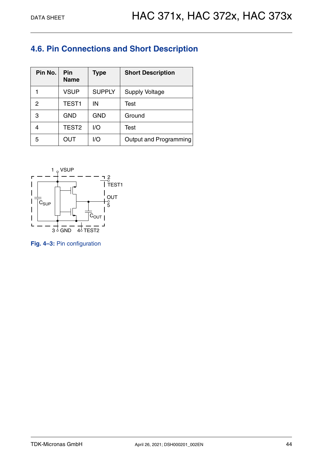### <span id="page-43-0"></span>**4.6. Pin Connections and Short Description**

| Pin No. | Pin<br><b>Name</b> | <b>Type</b>   | <b>Short Description</b> |
|---------|--------------------|---------------|--------------------------|
|         | <b>VSUP</b>        | <b>SUPPLY</b> | <b>Supply Voltage</b>    |
| 2       | TEST <sub>1</sub>  | ΙN            | Test                     |
| 3       | <b>GND</b>         | <b>GND</b>    | Ground                   |
|         | TEST <sub>2</sub>  | 1/O           | Test                     |
| 5       | OUT                | I/O           | Output and Programming   |



**Fig. 4–3:** Pin configuration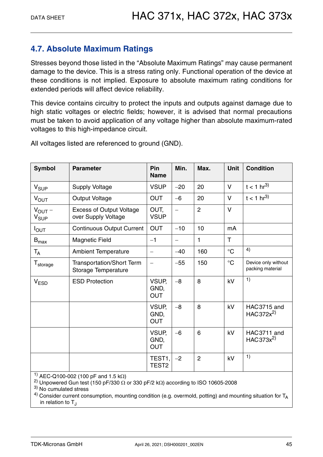### <span id="page-44-0"></span>**4.7. Absolute Maximum Ratings**

Stresses beyond those listed in the "Absolute Maximum Ratings" may cause permanent damage to the device. This is a stress rating only. Functional operation of the device at these conditions is not implied. Exposure to absolute maximum rating conditions for extended periods will affect device reliability.

This device contains circuitry to protect the inputs and outputs against damage due to high static voltages or electric fields; however, it is advised that normal precautions must be taken to avoid application of any voltage higher than absolute maximum-rated voltages to this high-impedance circuit.

| <b>Symbol</b>                   | <b>Parameter</b>                                                                                                                                                                                                                                                                                                    | Pin<br><b>Name</b>          | Min.  | Max.           | <b>Unit</b>     | <b>Condition</b>                        |
|---------------------------------|---------------------------------------------------------------------------------------------------------------------------------------------------------------------------------------------------------------------------------------------------------------------------------------------------------------------|-----------------------------|-------|----------------|-----------------|-----------------------------------------|
| V <sub>SUP</sub>                | <b>Supply Voltage</b>                                                                                                                                                                                                                                                                                               | <b>VSUP</b>                 | $-20$ | 20             | $\vee$          | $t < 1 hr^{3}$                          |
| $V_{OUT}$                       | <b>Output Voltage</b>                                                                                                                                                                                                                                                                                               | <b>OUT</b>                  | $-6$  | 20             | $\vee$          | $t < 1 hr^{3}$                          |
| $V_{OUT}$ –<br>$V_{\text{SUP}}$ | <b>Excess of Output Voltage</b><br>over Supply Voltage                                                                                                                                                                                                                                                              | OUT,<br><b>VSUP</b>         |       | $\overline{2}$ | $\vee$          |                                         |
| $I_{\text{OUT}}$                | <b>Continuous Output Current</b>                                                                                                                                                                                                                                                                                    | <b>OUT</b>                  | $-10$ | 10             | mA              |                                         |
| $\mathsf{B}_{\text{max}}$       | <b>Magnetic Field</b>                                                                                                                                                                                                                                                                                               | $-1$                        |       | 1              | T               |                                         |
| $T_A$                           | <b>Ambient Temperature</b>                                                                                                                                                                                                                                                                                          |                             | $-40$ | 160            | $^{\circ}C$     | 4)                                      |
| T <sub>storage</sub>            | Transportation/Short Term<br>Storage Temperature                                                                                                                                                                                                                                                                    |                             | $-55$ | 150            | $\rm ^{\circ}C$ | Device only without<br>packing material |
| <b>V<sub>ESD</sub></b>          | <b>ESD Protection</b>                                                                                                                                                                                                                                                                                               | VSUP,<br>GND,<br><b>OUT</b> | $-8$  | 8              | kV              | 1)                                      |
|                                 |                                                                                                                                                                                                                                                                                                                     | VSUP,<br>GND,<br><b>OUT</b> | $-8$  | 8              | kV              | HAC3715 and<br>HAC372x <sup>2)</sup>    |
|                                 |                                                                                                                                                                                                                                                                                                                     | VSUP,<br>GND,<br><b>OUT</b> | $-6$  | 6              | kV              | HAC3711 and<br>HAC373x <sup>2)</sup>    |
|                                 |                                                                                                                                                                                                                                                                                                                     | TEST1,<br>TEST <sub>2</sub> | $-2$  | $\overline{2}$ | kV              | 1)                                      |
|                                 | $\frac{1}{1}$ $\frac{1}{2}$ $\frac{1}{2}$ $\frac{1}{2}$ $\frac{1}{2}$ $\frac{1}{2}$ $\frac{1}{2}$ $\frac{1}{2}$ $\frac{1}{2}$ $\frac{1}{2}$ $\frac{1}{2}$ $\frac{1}{2}$ $\frac{1}{2}$ $\frac{1}{2}$ $\frac{1}{2}$ $\frac{1}{2}$ $\frac{1}{2}$ $\frac{1}{2}$ $\frac{1}{2}$ $\frac{1}{2}$ $\frac{1}{2}$ $\frac{1}{2}$ |                             |       |                |                 |                                         |

All voltages listed are referenced to ground (GND).

<sup>1)</sup> AEC-Q100-002 (100 pF and 1.5 k $\Omega$ )

<sup>2)</sup> Unpowered Gun test (150 pF/330  $\Omega$  or 330 pF/2 k $\Omega$ ) according to ISO 10605-2008 <sup>3)</sup> No cumulated stress

<sup>4)</sup> Consider current consumption, mounting condition (e.g. overmold, potting) and mounting situation for  $T_A$ in relation to  $T<sub>1</sub>$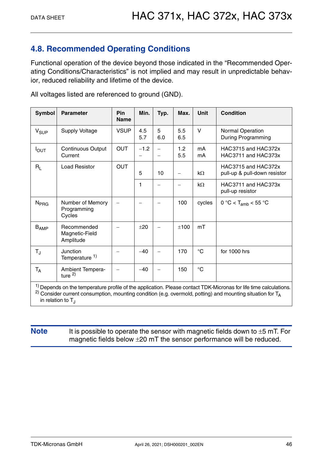### <span id="page-45-0"></span>**4.8. Recommended Operating Conditions**

Functional operation of the device beyond those indicated in the "Recommended Operating Conditions/Characteristics" is not implied and may result in unpredictable behavior, reduced reliability and lifetime of the device.

| <b>Symbol</b>    | <b>Parameter</b>                           | Pin<br><b>Name</b> | Min.       | Typ.                     | Max.                     | <b>Unit</b>  | <b>Condition</b>                                                                                                             |
|------------------|--------------------------------------------|--------------------|------------|--------------------------|--------------------------|--------------|------------------------------------------------------------------------------------------------------------------------------|
| $V_{SUP}$        | <b>Supply Voltage</b>                      | <b>VSUP</b>        | 4.5<br>5.7 | 5<br>6.0                 | 5.5<br>6.5               | V            | Normal Operation<br><b>During Programming</b>                                                                                |
| $I_{\text{OUT}}$ | <b>Continuous Output</b><br>Current        | <b>OUT</b>         | $-1.2$     | $\overline{\phantom{0}}$ | 1.2<br>5.5               | mA<br>mA     | HAC3715 and HAC372x<br>HAC3711 and HAC373x                                                                                   |
| $R_L$            | <b>Load Resistor</b>                       | <b>OUT</b>         | 5          | 10                       | $\overline{\phantom{0}}$ | $k\Omega$    | HAC3715 and HAC372x<br>pull-up & pull-down resistor                                                                          |
|                  |                                            |                    | 1          | $\overline{\phantom{0}}$ | $\overline{\phantom{0}}$ | $k\Omega$    | HAC3711 and HAC373x<br>pull-up resistor                                                                                      |
| N <sub>PRG</sub> | Number of Memory<br>Programming<br>Cycles  |                    |            |                          | 100                      | cycles       | 0 °C < T <sub>amb</sub> < 55 °C                                                                                              |
| $B_{AMP}$        | Recommended<br>Magnetic-Field<br>Amplitude |                    | ±20        |                          | ±100                     | mT           |                                                                                                                              |
| $T_{\rm J}$      | Junction<br>Temperature <sup>1)</sup>      |                    | $-40$      | $\overline{\phantom{0}}$ | 170                      | $^{\circ}$ C | for 1000 hrs                                                                                                                 |
| $T_A$            | Ambient Tempera-<br>ture $^{2)}$           |                    | $-40$      |                          | 150                      | $^{\circ}$ C |                                                                                                                              |
|                  |                                            |                    |            |                          |                          |              | <sup>1)</sup> Depends on the temperature profile of the application. Please contact TDK-Micronas for life time calculations. |

All voltages listed are referenced to ground (GND).

<sup>2)</sup> Consider current consumption, mounting condition (e.g. overmold, potting) and mounting situation for  $T_A$ in relation to  $T<sub>1</sub>$ 

### **Note** It is possible to operate the sensor with magnetic fields down to  $\pm$ 5 mT. For magnetic fields below  $\pm 20$  mT the sensor performance will be reduced.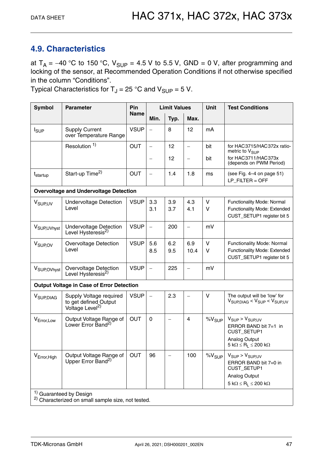### <span id="page-46-1"></span><span id="page-46-0"></span>**4.9. Characteristics**

at  $T_A = -40$  °C to 150 °C,  $V_{SUP} = 4.5$  V to 5.5 V, GND = 0 V, after programming and locking of the sensor, at Recommended Operation Conditions if not otherwise specified in the column "Conditions".

Typical Characteristics for  $T_J = 25$  °C and  $V_{\text{SUP}} = 5$  V.

| <b>Symbol</b>                      | <b>Parameter</b>                                                                | <b>Pin</b>  | <b>Limit Values</b>      |                   |                          | <b>Unit</b>       | <b>Test Conditions</b>                                                                    |  |  |
|------------------------------------|---------------------------------------------------------------------------------|-------------|--------------------------|-------------------|--------------------------|-------------------|-------------------------------------------------------------------------------------------|--|--|
|                                    |                                                                                 | <b>Name</b> | Min.                     | Typ.              | Max.                     |                   |                                                                                           |  |  |
| <b>I</b> <sub>SUP</sub>            | <b>Supply Current</b><br>over Temperature Range                                 | <b>VSUP</b> | $\overline{\phantom{0}}$ | 8                 | 12                       | mA                |                                                                                           |  |  |
|                                    | Resolution <sup>1)</sup>                                                        | <b>OUT</b>  | $\qquad \qquad -$        | 12                | $\qquad \qquad -$        | bit               | for HAC3715/HAC372x ratio-<br>metric to V <sub>SUP</sub>                                  |  |  |
|                                    |                                                                                 |             | $\overline{\phantom{0}}$ | 12                | $\overline{\phantom{0}}$ | bit               | for HAC3711/HAC373x<br>(depends on PWM Period)                                            |  |  |
| t <sub>startup</sub>               | Start-up Time <sup>2)</sup>                                                     | <b>OUT</b>  | $\qquad \qquad -$        | 1.4               | 1.8                      | ms                | (see Fig. 4-4 on page 51)<br>$LP$ FILTER = OFF                                            |  |  |
|                                    | <b>Overvoltage and Undervoltage Detection</b>                                   |             |                          |                   |                          |                   |                                                                                           |  |  |
| V <sub>SUP, UV</sub>               | <b>Undervoltage Detection</b><br>Level                                          | <b>VSUP</b> | 3.3<br>3.1               | 3.9<br>3.7        | 4.3<br>4.1               | $\vee$<br>V       | Functionality Mode: Normal<br>Functionality Mode: Extended<br>CUST_SETUP1 register bit 5  |  |  |
| V <sub>SUP, UVhyst</sub>           | <b>Undervoltage Detection</b><br>Level Hysteresis <sup>2)</sup>                 | <b>VSUP</b> | $\overline{\phantom{0}}$ | 200               | $\overline{\phantom{0}}$ | mV                |                                                                                           |  |  |
| V <sub>SUP.OV</sub>                | <b>Overvoltage Detection</b><br>Level                                           | <b>VSUP</b> | 5.6<br>8.5               | 6.2<br>9.5        | 6.9<br>10.4              | $\vee$<br>V       | Functionality Mode: Normal<br>Functionality Mode: Extended<br>CUST_SETUP1 register bit 5  |  |  |
| V <sub>SUP, OVhyst</sub>           | Overvoltage Detection<br>Level Hysteresis <sup>2)</sup>                         | <b>VSUP</b> | $\equiv$                 | 225               | $\overline{\phantom{0}}$ | mV                |                                                                                           |  |  |
|                                    | <b>Output Voltage in Case of Error Detection</b>                                |             |                          |                   |                          |                   |                                                                                           |  |  |
| V <sub>SUP,DIAG</sub>              | Supply Voltage required<br>to get defined Output<br>Voltage Level <sup>2)</sup> | <b>VSUP</b> | $\overline{\phantom{0}}$ | 2.3               |                          | V                 | The output will be 'low' for<br>$V_{\text{SUPD IAG}} < V_{\text{SUP}} < V_{\text{SUPUV}}$ |  |  |
| V <sub>Error, Low</sub>            | Output Voltage Range of<br>Lower Error Band <sup>2)</sup>                       | <b>OUT</b>  | $\mathbf 0$              | $\qquad \qquad -$ | $\overline{4}$           | %V <sub>SUP</sub> | $V_{SUP}$ > $V_{SUP, UV}$<br>ERROR BAND bit 7=1 in<br>CUST_SETUP1                         |  |  |
|                                    |                                                                                 |             |                          |                   |                          |                   | Analog Output<br>$5 k\Omega \le R_L \le 200 k\Omega$                                      |  |  |
| V <sub>Error, High</sub>           | Output Voltage Range of<br>Upper Error Band <sup>2)</sup>                       | OUT         | 96                       |                   | 100                      | $\%V_{SUP}$       | $V_{SUP}$ > $V_{SUPUV}$<br>ERROR BAND bit 7=0 in<br>CUST_SETUP1                           |  |  |
|                                    |                                                                                 |             |                          |                   |                          |                   | Analog Output<br>$5 k\Omega \le R_L \le 200 k\Omega$                                      |  |  |
|                                    |                                                                                 |             |                          |                   |                          |                   |                                                                                           |  |  |
| <sup>1)</sup> Guaranteed by Design |                                                                                 |             |                          |                   |                          |                   |                                                                                           |  |  |

2) Characterized on small sample size, not tested.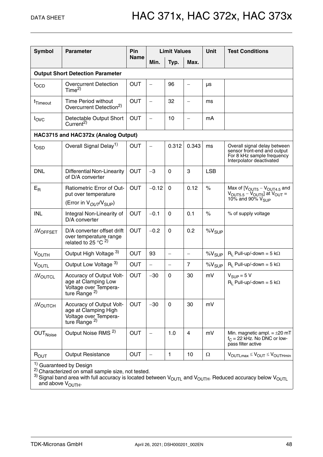| <b>Symbol</b>             | <b>Parameter</b>                                                                                      | <b>Pin</b>  | <b>Limit Values</b>      |                          |                          | <b>Unit</b>       | <b>Test Conditions</b>                                                                                                       |
|---------------------------|-------------------------------------------------------------------------------------------------------|-------------|--------------------------|--------------------------|--------------------------|-------------------|------------------------------------------------------------------------------------------------------------------------------|
|                           |                                                                                                       | <b>Name</b> | Min.                     | Typ.                     | Max.                     |                   |                                                                                                                              |
|                           | <b>Output Short Detection Parameter</b>                                                               |             |                          |                          |                          |                   |                                                                                                                              |
| tocp                      | <b>Overcurrent Detection</b><br>Time <sup>2</sup>                                                     | <b>OUT</b>  | $\overline{\phantom{0}}$ | 96                       | $\overline{\phantom{0}}$ | μs                |                                                                                                                              |
| t <sub>Timeout</sub>      | Time Period without<br>Overcurrent Detection <sup>2)</sup>                                            | <b>OUT</b>  | $\overline{\phantom{0}}$ | 32                       | $\overline{\phantom{0}}$ | ms                |                                                                                                                              |
| $I_{\text{OVC}}$          | Detectable Output Short<br>Current <sup>2)</sup>                                                      | <b>OUT</b>  | $\qquad \qquad -$        | 10                       | $\overline{\phantom{0}}$ | mA                |                                                                                                                              |
|                           | HAC3715 and HAC372x (Analog Output)                                                                   |             |                          |                          |                          |                   |                                                                                                                              |
| $t_{\text{OSD}}$          | Overall Signal Delay <sup>1)</sup>                                                                    | <b>OUT</b>  | $\overline{\phantom{0}}$ | 0.312                    | 0.343                    | ms                | Overall signal delay between<br>sensor front-end and output<br>For 8 kHz sample frequency<br>Interpolator deactivated        |
| <b>DNL</b>                | Differential Non-Linearity<br>of D/A converter                                                        | <b>OUT</b>  | $-3$                     | $\Omega$                 | 3                        | <b>LSB</b>        |                                                                                                                              |
| $E_{R}$                   | <b>Ratiometric Error of Out-</b><br>put over temperature<br>(Error in $V_{OUT}/V_{SUP}$ )             | <b>OUT</b>  | $-0.12$                  | $\mathbf 0$              | 0.12                     | $\%$              | Max of $[VOUT5 - VOUT4.5$ and<br>$V_{\text{OUT5.5}} - V_{\text{OUT5}}$ at $V_{\text{OUT}} =$<br>10% and 90% $V_{\text{SUP}}$ |
| <b>INL</b>                | Integral Non-Linearity of<br>D/A converter                                                            | <b>OUT</b>  | $-0.1$                   | $\Omega$                 | 0.1                      | $\%$              | % of supply voltage                                                                                                          |
| $\Delta V$ OFFSET         | D/A converter offset drift<br>over temperature range<br>related to 25 °C $^{2)}$                      | <b>OUT</b>  | $-0.2$                   | $\mathbf 0$              | 0.2                      | $\%V_{SUP}$       |                                                                                                                              |
| <b>VOUTH</b>              | Output High Voltage 3)                                                                                | <b>OUT</b>  | 93                       | $\overline{\phantom{0}}$ | $\overline{\phantom{0}}$ | %V <sub>SUP</sub> | $R_1$ Pull-up/-down = 5 k $\Omega$                                                                                           |
| <b>VOUTL</b>              | Output Low Voltage 3)                                                                                 | <b>OUT</b>  | $\qquad \qquad -$        | $\overline{\phantom{m}}$ | $\overline{7}$           | $\%V_{SUP}$       | $R_1$ Pull-up/-down = 5 k $\Omega$                                                                                           |
| $\Delta V_{\text{OUTCL}}$ | Accuracy of Output Volt-<br>age at Clamping Low<br>Voltage over Tempera-<br>ture Range $^{2)}$        | <b>OUT</b>  | $-30$                    | $\Omega$                 | 30                       | mV                | $V_{SIIP} = 5 V$<br>$R_1$ Pull-up/-down = 5 k $\Omega$                                                                       |
| $\Delta V_{\text{OUTCH}}$ | Accuracy of Output Volt-<br>age at Clamping High<br>Voltage over Tempera-<br>ture Range <sup>2)</sup> | <b>OUT</b>  | $-30$                    | $\mathbf 0$              | 30                       | mV                |                                                                                                                              |
| OUT <sub>Noise</sub>      | Output Noise RMS <sup>2)</sup>                                                                        | <b>OUT</b>  | $\overline{\phantom{0}}$ | 1.0                      | 4                        | mV                | Min. magnetic ampl. $= \pm 20$ mT<br>$f_C = 22$ kHz. No DNC or low-<br>pass filter active                                    |
| ROUT                      | <b>Output Resistance</b>                                                                              | <b>OUT</b>  | $\qquad \qquad -$        | $\mathbf{1}$             | 10                       | Ω                 | $V_{OUTLmax} \leq V_{OUT} \leq V_{OUTHmin}$                                                                                  |

 $1)$  Guaranteed by Design

<sup>2)</sup> Characterized on small sample size, not tested.<br><sup>3)</sup> Signal band area with full accuracy is located between V<sub>OUTL</sub> and V<sub>OUTH</sub>. Reduced accuracy below V<sub>OUTL</sub> and above V<sub>OUTH</sub>.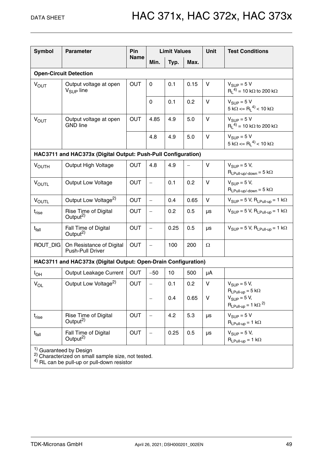| <b>Symbol</b>                      | <b>Parameter</b>                                               | Pin         | <b>Limit Values</b>      |      | <b>Unit</b> | <b>Test Conditions</b> |                                                                                   |  |  |
|------------------------------------|----------------------------------------------------------------|-------------|--------------------------|------|-------------|------------------------|-----------------------------------------------------------------------------------|--|--|
|                                    |                                                                | <b>Name</b> | Min.                     | Typ. | Max.        |                        |                                                                                   |  |  |
| <b>Open-Circuit Detection</b>      |                                                                |             |                          |      |             |                        |                                                                                   |  |  |
| <b>VOUT</b>                        | Output voltage at open<br>$V_{\text{SUP}}$ line                | <b>OUT</b>  | 0                        | 0.1  | 0.15        | V                      | $V_{\text{SUP}} = 5 V$<br>$R_1^{(4)} = 10 k\Omega$ to 200 k $\Omega$              |  |  |
|                                    |                                                                |             | $\mathbf 0$              | 0.1  | 0.2         | $\mathsf{V}$           | $V_{SUP} = 5 V$<br>$5 \text{ k}\Omega \leq R_L^{(4)} < 10 \text{ k}\Omega$        |  |  |
| $V_{OUT}$                          | Output voltage at open<br><b>GND</b> line                      | <b>OUT</b>  | 4.85                     | 4.9  | 5.0         | $\vee$                 | $V_{\text{SUP}} = 5 V$<br>$R_1^{(4)} = 10 k\Omega$ to 200 k $\Omega$              |  |  |
|                                    |                                                                |             | 4.8                      | 4.9  | 5.0         | V                      | $V_{\text{SUP}} = 5 V$<br>$5 \text{ k}\Omega \leq R_1^{(4)} < 10 \text{ k}\Omega$ |  |  |
|                                    | HAC3711 and HAC373x (Digital Output: Push-Pull Configuration)  |             |                          |      |             |                        |                                                                                   |  |  |
| <b>VOUTH</b>                       | Output High Voltage                                            | <b>OUT</b>  | 4.8                      | 4.9  |             | V                      | $V_{\text{SUP}} = 5 V$ ,<br>$R_{LPull-up\text{-down}} = 5 k\Omega$                |  |  |
| <b>VOUTL</b>                       | <b>Output Low Voltage</b>                                      | <b>OUT</b>  | $\overline{\phantom{0}}$ | 0.1  | 0.2         | V                      | $V_{\text{SUP}} = 5 V$ ,<br>$R_{LPull-up\}/$ -down = 5 k $\Omega$                 |  |  |
| $V_{\text{OUTL}}$                  | Output Low Voltage <sup>2)</sup>                               | <b>OUT</b>  | $\bar{ }$                | 0.4  | 0.65        | V                      | $V_{SUP} = 5 V$ , $R_{LPull-up} = 1 k\Omega$                                      |  |  |
| $t_{rise}$                         | Rise Time of Digital<br>Output <sup>2)</sup>                   | <b>OUT</b>  | $\qquad \qquad -$        | 0.2  | 0.5         | μs                     | $V_{SUP} = 5 V$ , $R_{LPull-up} = 1 k\Omega$                                      |  |  |
| $t_{\sf fall}$                     | Fall Time of Digital<br>Output <sup>2)</sup>                   | <b>OUT</b>  | $\qquad \qquad -$        | 0.25 | 0.5         | μs                     | $V_{SUP} = 5 V$ , $R_{LPull-up} = 1 k\Omega$                                      |  |  |
| ROUT_DIG                           | On Resistance of Digital<br>Push-Pull Driver                   | <b>OUT</b>  | $\overline{\phantom{0}}$ | 100  | 200         | $\Omega$               |                                                                                   |  |  |
|                                    | HAC3711 and HAC373x (Digital Output: Open-Drain Configuration) |             |                          |      |             |                        |                                                                                   |  |  |
| $I_{OH}$                           | Output Leakage Current                                         | <b>OUT</b>  | $-50$                    | 10   | 500         | μA                     |                                                                                   |  |  |
| $V_{OL}$                           | Output Low Voltage <sup>2)</sup>                               | <b>OUT</b>  | $\frac{1}{2}$            | 0.1  | 0.2         | V                      | $V_{\text{SUP}} = 5 V$ ,                                                          |  |  |
|                                    |                                                                |             | $\overline{\phantom{m}}$ | 0.4  | 0.65        | V                      | $R_{LPull-up} = 5 k\Omega$<br>$V_{SUP} = 5 V,$<br>$R_{LPull-up} = 1 k\Omega^{2}$  |  |  |
| $t_{\sf rise}$                     | Rise Time of Digital<br>Output <sup>2)</sup>                   | <b>OUT</b>  | $\qquad \qquad -$        | 4.2  | 5.3         | μs                     | $V_{SUP} = 5 V$<br>$R_{LPull-up} = 1 k\Omega$                                     |  |  |
| $t_{fall}$                         | Fall Time of Digital<br>Output <sup>2)</sup>                   | <b>OUT</b>  | -                        | 0.25 | 0.5         | μs                     | $V_{SUP} = 5 V$ ,<br>$R_{LPull-up} = 1 k\Omega$                                   |  |  |
| <sup>1)</sup> Guaranteed by Design |                                                                |             |                          |      |             |                        |                                                                                   |  |  |

<sup>2)</sup> Characterized on small sample size, not tested.<br><sup>4)</sup> RL can be pull-up or pull-down resistor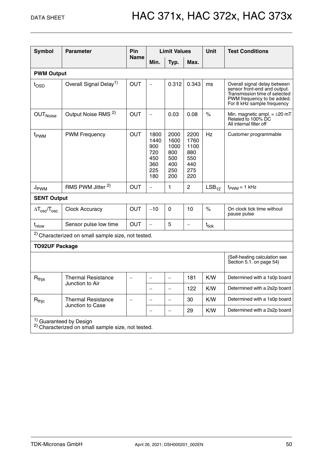| <b>Symbol</b>                                                                                       | <b>Parameter</b>                                              | Pin               | <b>Limit Values</b>                                    |                                                         | <b>Unit</b>                                             | <b>Test Conditions</b> |                                                                                                                                                           |  |  |  |
|-----------------------------------------------------------------------------------------------------|---------------------------------------------------------------|-------------------|--------------------------------------------------------|---------------------------------------------------------|---------------------------------------------------------|------------------------|-----------------------------------------------------------------------------------------------------------------------------------------------------------|--|--|--|
|                                                                                                     |                                                               | <b>Name</b>       | Min.                                                   | Typ.                                                    | Max.                                                    |                        |                                                                                                                                                           |  |  |  |
|                                                                                                     | <b>PWM Output</b>                                             |                   |                                                        |                                                         |                                                         |                        |                                                                                                                                                           |  |  |  |
| t <sub>OSD</sub>                                                                                    | Overall Signal Delay <sup>1)</sup>                            | <b>OUT</b>        |                                                        | 0.312                                                   | 0.343                                                   | ms                     | Overall signal delay between<br>sensor front-end and output.<br>Transmission time of selected<br>PWM frequency to be added.<br>For 8 kHz sample frequency |  |  |  |
| <b>OUT</b> Noise                                                                                    | Output Noise RMS <sup>2)</sup>                                | <b>OUT</b>        | $\overline{\phantom{0}}$                               | 0.03                                                    | 0.08                                                    | $\%$                   | Min. magnetic ampl. $= \pm 20$ mT<br>Related to 100% DC<br>All internal filter off                                                                        |  |  |  |
| f <sub>PWM</sub>                                                                                    | <b>PWM Frequency</b>                                          | <b>OUT</b>        | 1800<br>1440<br>900<br>720<br>450<br>360<br>225<br>180 | 2000<br>1600<br>1000<br>800<br>500<br>400<br>250<br>200 | 2200<br>1760<br>1100<br>880<br>550<br>440<br>275<br>220 | Hz                     | Customer programmable                                                                                                                                     |  |  |  |
| J <sub>PWM</sub>                                                                                    | RMS PWM Jitter <sup>2)</sup>                                  | <b>OUT</b>        | $\equiv$                                               | 1                                                       | $\overline{c}$                                          | LSB <sub>12</sub>      | $f_{\text{PWM}} = 1$ kHz                                                                                                                                  |  |  |  |
| <b>SENT Output</b>                                                                                  |                                                               |                   |                                                        |                                                         |                                                         |                        |                                                                                                                                                           |  |  |  |
| $\Delta T_{\rm osc}/T_{\rm osc}$                                                                    | <b>Clock Accuracy</b>                                         | <b>OUT</b>        | $-10$                                                  | $\mathbf{0}$                                            | 10                                                      | $\%$                   | On clock tick time without<br>pause pulse                                                                                                                 |  |  |  |
| $t_{\text{nlow}}$                                                                                   | Sensor pulse low time                                         | <b>OUT</b>        | $\overline{\phantom{0}}$                               | 5                                                       | $\qquad \qquad -$                                       | $t_{\sf tick}$         |                                                                                                                                                           |  |  |  |
|                                                                                                     | <sup>2)</sup> Characterized on small sample size, not tested. |                   |                                                        |                                                         |                                                         |                        |                                                                                                                                                           |  |  |  |
| <b>TO92UF Package</b>                                                                               |                                                               |                   |                                                        |                                                         |                                                         |                        |                                                                                                                                                           |  |  |  |
|                                                                                                     | (Self-heating calculation see<br>Section 5.1. on page 54)     |                   |                                                        |                                                         |                                                         |                        |                                                                                                                                                           |  |  |  |
| $R_{thia}$                                                                                          | <b>Thermal Resistance</b><br>Junction to Air                  | -                 | $\qquad \qquad -$                                      | $\qquad \qquad -$                                       | 181                                                     | K/W                    | Determined with a 1s0p board                                                                                                                              |  |  |  |
|                                                                                                     |                                                               |                   |                                                        |                                                         | 122                                                     | K/W                    | Determined with a 2s2p board                                                                                                                              |  |  |  |
| $R_{\text{thic}}$                                                                                   | <b>Thermal Resistance</b>                                     | $\qquad \qquad -$ | $\qquad \qquad -$                                      | $\qquad \qquad -$                                       | 30                                                      | K/W                    | Determined with a 1s0p board                                                                                                                              |  |  |  |
|                                                                                                     | Junction to Case                                              |                   |                                                        | $\overline{\phantom{0}}$                                | 29                                                      | K/W                    | Determined with a 2s2p board                                                                                                                              |  |  |  |
| <sup>1)</sup> Guaranteed by Design<br><sup>2)</sup> Characterized on small sample size, not tested. |                                                               |                   |                                                        |                                                         |                                                         |                        |                                                                                                                                                           |  |  |  |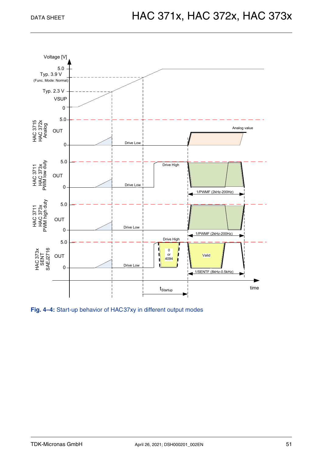

<span id="page-50-0"></span>**Fig. 4–4:** Start-up behavior of HAC37xy in different output modes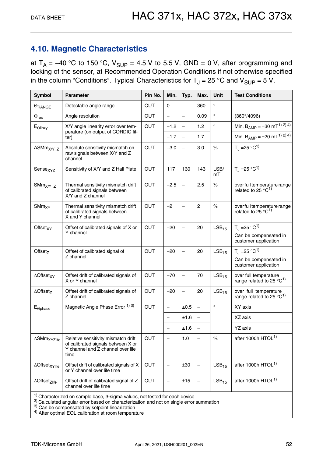### <span id="page-51-0"></span>**4.10. Magnetic Characteristics**

at  $T_A = -40$  °C to 150 °C,  $V_{SUP} = 4.5$  V to 5.5 V, GND = 0 V, after programming and locking of the sensor, at Recommended Operation Conditions if not otherwise specified in the column "Conditions". Typical Characteristics for  $T_J = 25$  °C and  $V_{\text{SUP}} = 5$  V.

| <b>Symbol</b>                                                                 | <b>Parameter</b>                                                                                                       | Pin No.    | Min.                     | Typ.                     | Max.                     | <b>Unit</b>       | <b>Test Conditions</b>                                                  |  |
|-------------------------------------------------------------------------------|------------------------------------------------------------------------------------------------------------------------|------------|--------------------------|--------------------------|--------------------------|-------------------|-------------------------------------------------------------------------|--|
| $\Theta$ RANGE                                                                | Detectable angle range                                                                                                 | <b>OUT</b> | 0                        |                          | 360                      | $\circ$           |                                                                         |  |
| $\Theta_{\sf res}$                                                            | Angle resolution                                                                                                       | <b>OUT</b> | $\equiv$                 | $\overline{\phantom{m}}$ | 0.09                     | $\circ$           | $(360^{\circ}/4096)$                                                    |  |
| $E_{\text{Olinxy}}$                                                           | X/Y angle linearity error over tem-                                                                                    | OUT        | $-1.2$                   | $\equiv$                 | 1.2                      | $\circ$           | Min. $B_{AMP} = \pm 30$ mT <sup>1)</sup> <sup>2)</sup> <sup>4</sup> )   |  |
|                                                                               | perature (on output of CORDIC fil-<br>ter)                                                                             |            | $-1.7$                   | $\equiv$                 | 1.7                      |                   | Min. $B_{AMP} = \pm 20$ mT <sup>1)</sup> <sup>2)</sup> <sup>4</sup> )   |  |
| $ASMm_{X/Y_Z}$                                                                | Absolute sensitivity mismatch on<br>raw signals between X/Y and Z<br>channel                                           | <b>OUT</b> | $-3.0$                   | $\overline{\phantom{m}}$ | 3.0                      | $\%$              | $T_{\rm J}$ = 25 °C <sup>1)</sup>                                       |  |
| Sensexyz                                                                      | Sensitivity of X/Y and Z Hall Plate                                                                                    | <b>OUT</b> | 117                      | 130                      | 143                      | LSB/<br>mT        | $T_{\rm J}$ = 25 °C <sup>1)</sup>                                       |  |
| $S\text{Mm}_{X/Y_Z}$                                                          | Thermal sensitivity mismatch drift<br>of calibrated signals between<br>X/Y and Z channel                               | <b>OUT</b> | $-2.5$                   | $\equiv$                 | 2.5                      | $\%$              | over full temperature range<br>related to 25 $^{\circ}$ C <sup>1)</sup> |  |
| SMm <sub>XY</sub>                                                             | Thermal sensitivity mismatch drift<br>of calibrated signals between<br>X and Y channel                                 | <b>OUT</b> | $-2$                     | $\overline{\phantom{m}}$ | $\overline{2}$           | $\%$              | over full temperature range<br>related to $25^{\circ}C^{1}$             |  |
| Offset <sub>XY</sub>                                                          | Offset of calibrated signals of X or                                                                                   | <b>OUT</b> | $-20$                    | $\overline{\phantom{m}}$ | 20                       | LSB <sub>15</sub> | $T_1 = 25 °C^{1}$                                                       |  |
|                                                                               | Y channel                                                                                                              |            |                          |                          |                          |                   | Can be compensated in<br>customer application                           |  |
| Offset $7$                                                                    | Offset of calibrated signal of<br>Z channel                                                                            | <b>OUT</b> | $-20$                    |                          | 20                       | LSB <sub>15</sub> | $T_{\rm d}$ = 25 °C <sup>1)</sup>                                       |  |
|                                                                               |                                                                                                                        |            |                          |                          |                          |                   | Can be compensated in<br>customer application                           |  |
| $\triangle$ Offset <sub>XY</sub>                                              | Offset drift of calibrated signals of<br>X or Y channel                                                                | <b>OUT</b> | $-70$                    | $\equiv$                 | 70                       | LSB <sub>15</sub> | over full temperature<br>range related to 25 $^{\circ}$ C <sup>1)</sup> |  |
| $\triangle$ Offset <sub>z</sub>                                               | Offset drift of calibrated signals of<br>Z channel                                                                     | OUT        | $-20$                    | $\qquad \qquad -$        | 20                       | LSB <sub>15</sub> | over full temperature<br>range related to 25 °C <sup>1)</sup>           |  |
| $E_{\Theta}$ phase                                                            | Magnetic Angle Phase Error 1) 3)                                                                                       | <b>OUT</b> | $\qquad \qquad -$        | ±0.5                     | $\equiv$                 | $\circ$           | XY axis                                                                 |  |
|                                                                               |                                                                                                                        |            | $\qquad \qquad -$        | ±1.6                     | $\equiv$                 |                   | XZ axis                                                                 |  |
|                                                                               |                                                                                                                        |            | $\overline{\phantom{0}}$ | ±1.6                     |                          |                   | YZ axis                                                                 |  |
| <b>ASMm<sub>XYZlife</sub></b>                                                 | Relative sensitivity mismatch drift<br>of calibrated signals between X or<br>Y channel and Z channel over life<br>time | <b>OUT</b> | $\qquad \qquad -$        | 1.0                      | $\overline{\phantom{0}}$ | $\%$              | after 1000h HTOL <sup>1)</sup>                                          |  |
| <b>AOffset</b> XYlife                                                         | Offset drift of calibrated signals of X<br>or Y channel over life time                                                 | OUT        |                          | $\pm 30$                 | $\overline{\phantom{0}}$ | LSB <sub>15</sub> | after 1000h HTOL <sup>1)</sup>                                          |  |
| $\triangle$ Offset <sub>Zlife</sub>                                           | Offset drift of calibrated signal of Z<br>channel over life time                                                       | OUT        | $\overline{\phantom{0}}$ | ±15                      | $\overline{\phantom{0}}$ | $LSB_{15}$        | after 1000h HTOL <sup>1)</sup>                                          |  |
| $1)$ Characterized on sample base, 3-sigma values, not tested for each device |                                                                                                                        |            |                          |                          |                          |                   |                                                                         |  |

<sup>2)</sup> Calculated angular error based on characterization and not on single error summation  $3$ ) Can be compensated by setpoint linearization

4) After optimal EOL calibration at room temperature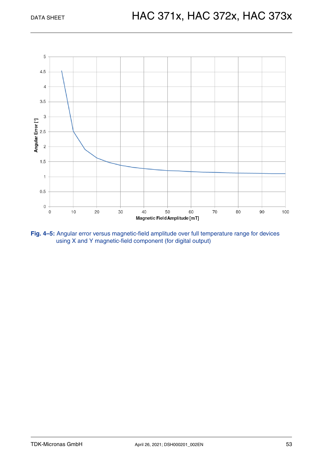

**Fig. 4–5:** Angular error versus magnetic-field amplitude over full temperature range for devices using X and Y magnetic-field component (for digital output)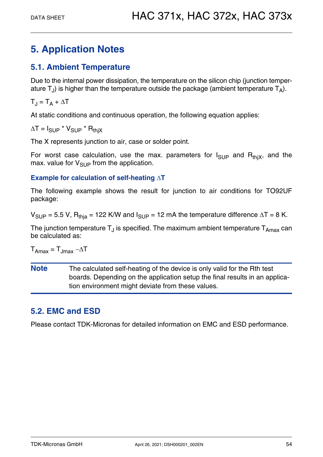### <span id="page-53-0"></span>**5. Application Notes**

### <span id="page-53-3"></span><span id="page-53-1"></span>**5.1. Ambient Temperature**

Due to the internal power dissipation, the temperature on the silicon chip (junction temperature  $T_{J}$ ) is higher than the temperature outside the package (ambient temperature  $T_{A}$ ).

 $T_J = T_A + \Delta T$ 

At static conditions and continuous operation, the following equation applies:

 $\Delta T = I_{\text{SUP}} * V_{\text{SUP}} * R_{\text{thiX}}$ 

The X represents junction to air, case or solder point.

For worst case calculation, use the max. parameters for  $I_{\text{SUP}}$  and  $R_{\text{thiX}}$ , and the max. value for  $V_{\text{SUP}}$  from the application.

### **Example for calculation of self-heating T**

The following example shows the result for junction to air conditions for TO92UF package:

 $V_{SUP}$  = 5.5 V, R<sub>thia</sub> = 122 K/W and  $I_{SUP}$  = 12 mA the temperature difference  $\Delta T$  = 8 K.

The junction temperature  $T_{\text{J}}$  is specified. The maximum ambient temperature  $T_{\text{Amax}}$  can be calculated as:

 $T_{\text{Amax}} = T_{\text{Jmax}} - \Delta T$ 

**Note** The calculated self-heating of the device is only valid for the Rth test boards. Depending on the application setup the final results in an application environment might deviate from these values.

### <span id="page-53-2"></span>**5.2. EMC and ESD**

Please contact TDK-Micronas for detailed information on EMC and ESD performance.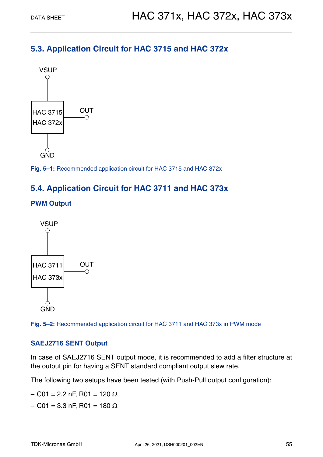### <span id="page-54-0"></span>**5.3. Application Circuit for HAC 3715 and HAC 372x**



**Fig. 5–1:** Recommended application circuit for HAC 3715 and HAC 372x

### <span id="page-54-1"></span>**5.4. Application Circuit for HAC 3711 and HAC 373x**





**Fig. 5–2:** Recommended application circuit for HAC 3711 and HAC 373x in PWM mode

### **SAEJ2716 SENT Output**

In case of SAEJ2716 SENT output mode, it is recommended to add a filter structure at the output pin for having a SENT standard compliant output slew rate.

The following two setups have been tested (with Push-Pull output configuration):

- $-$  C01 = 2.2 nF, R01 = 120  $\Omega$
- $-$  C01 = 3.3 nF, R01 = 180  $\Omega$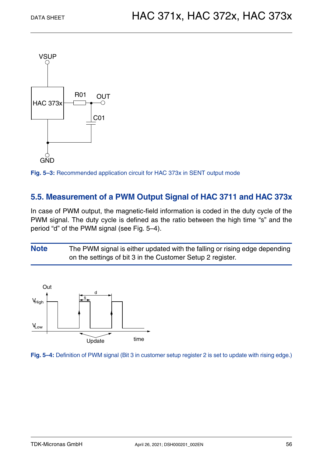

**Fig. 5–3:** Recommended application circuit for HAC 373x in SENT output mode

### <span id="page-55-0"></span>**5.5. Measurement of a PWM Output Signal of HAC 3711 and HAC 373x**

In case of PWM output, the magnetic-field information is coded in the duty cycle of the PWM signal. The duty cycle is defined as the ratio between the high time "s" and the period "d" of the PWM signal (see [Fig. 5–4](#page-55-1)).

**Note** The PWM signal is either updated with the falling or rising edge depending on the settings of bit 3 in the Customer Setup 2 register.



<span id="page-55-1"></span>**Fig. 5–4:** Definition of PWM signal (Bit 3 in customer setup register 2 is set to update with rising edge.)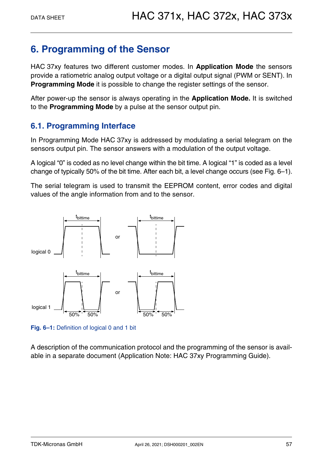### <span id="page-56-0"></span>**6. Programming of the Sensor**

HAC 37xy features two different customer modes. In **Application Mode** the sensors provide a ratiometric analog output voltage or a digital output signal (PWM or SENT). In **Programming Mode** it is possible to change the register settings of the sensor.

After power-up the sensor is always operating in the **Application Mode.** It is switched to the **Programming Mode** by a pulse at the sensor output pin.

### <span id="page-56-1"></span>**6.1. Programming Interface**

In Programming Mode HAC 37xy is addressed by modulating a serial telegram on the sensors output pin. The sensor answers with a modulation of the output voltage.

A logical "0" is coded as no level change within the bit time. A logical "1" is coded as a level change of typically 50% of the bit time. After each bit, a level change occurs [\(see Fig. 6–1\)](#page-56-2).

The serial telegram is used to transmit the EEPROM content, error codes and digital values of the angle information from and to the sensor.



<span id="page-56-2"></span>**Fig. 6–1:** Definition of logical 0 and 1 bit

A description of the communication protocol and the programming of the sensor is available in a separate document (Application Note: HAC 37xy Programming Guide).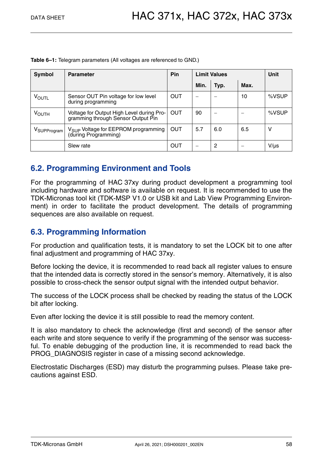**Table 6–1:** Telegram parameters (All voltages are referenced to GND.)

| Symbol                  | Pin<br><b>Parameter</b>                                                         |            | <b>Limit Values</b> |      |      | Unit      |
|-------------------------|---------------------------------------------------------------------------------|------------|---------------------|------|------|-----------|
|                         |                                                                                 |            | Min.                | Typ. | Max. |           |
| VOUTL                   | Sensor OUT Pin voltage for low level<br>during programming                      | <b>OUT</b> |                     |      | 10   | %VSUP     |
| <b>VOUTH</b>            | Voltage for Output High Level during Pro-<br>gramming through Sensor Output Pin | <b>OUT</b> | 90                  |      |      | %VSUP     |
| V <sub>SUPProgram</sub> | V <sub>SUP</sub> Voltage for EEPROM programming<br>(during Programming)         | OUT        | 5.7                 | 6.0  | 6.5  | ۷         |
|                         | Slew rate                                                                       | OUT        | -                   | 2    |      | $V/\mu s$ |

### <span id="page-57-0"></span>**6.2. Programming Environment and Tools**

For the programming of HAC 37xy during product development a programming tool including hardware and software is available on request. It is recommended to use the TDK-Micronas tool kit (TDK-MSP V1.0 or USB kit and Lab View Programming Environment) in order to facilitate the product development. The details of programming sequences are also available on request.

### <span id="page-57-1"></span>**6.3. Programming Information**

For production and qualification tests, it is mandatory to set the LOCK bit to one after final adjustment and programming of HAC 37xy.

Before locking the device, it is recommended to read back all register values to ensure that the intended data is correctly stored in the sensor's memory. Alternatively, it is also possible to cross-check the sensor output signal with the intended output behavior.

The success of the LOCK process shall be checked by reading the status of the LOCK bit after locking.

Even after locking the device it is still possible to read the memory content.

It is also mandatory to check the acknowledge (first and second) of the sensor after each write and store sequence to verify if the programming of the sensor was successful. To enable debugging of the production line, it is recommended to read back the PROG DIAGNOSIS register in case of a missing second acknowledge.

Electrostatic Discharges (ESD) may disturb the programming pulses. Please take precautions against ESD.